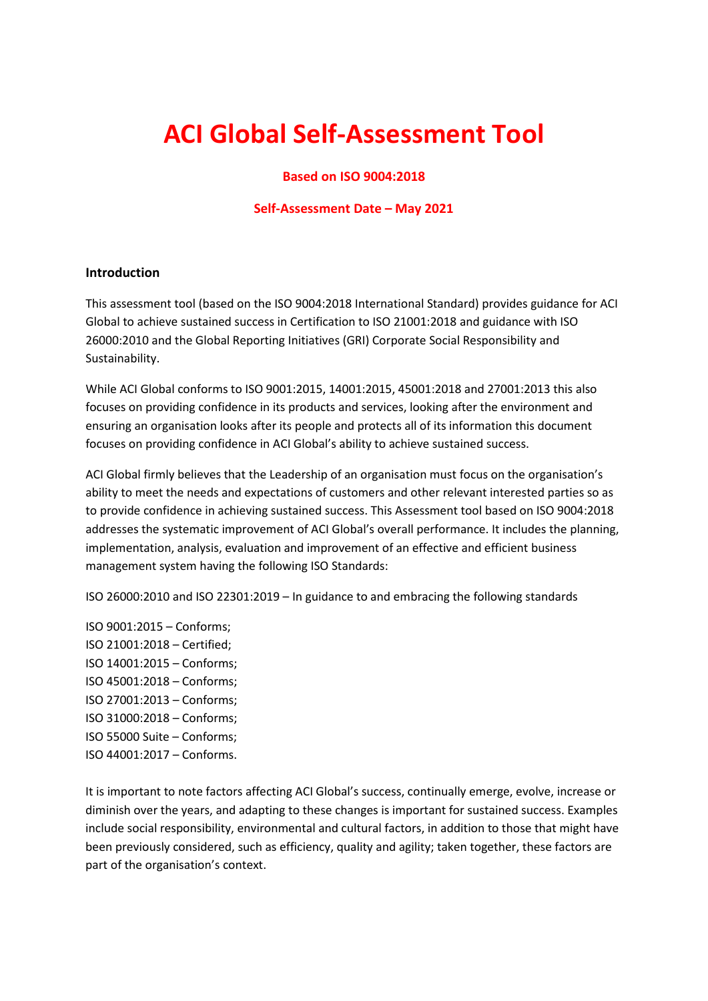# **ACI Global Self-Assessment Tool**

## **Based on ISO 9004:2018**

#### **Self-Assessment Date – May 2021**

#### **Introduction**

This assessment tool (based on the ISO 9004:2018 International Standard) provides guidance for ACI Global to achieve sustained success in Certification to ISO 21001:2018 and guidance with ISO 26000:2010 and the Global Reporting Initiatives (GRI) Corporate Social Responsibility and Sustainability.

While ACI Global conforms to ISO 9001:2015, 14001:2015, 45001:2018 and 27001:2013 this also focuses on providing confidence in its products and services, looking after the environment and ensuring an organisation looks after its people and protects all of its information this document focuses on providing confidence in ACI Global's ability to achieve sustained success.

ACI Global firmly believes that the Leadership of an organisation must focus on the organisation's ability to meet the needs and expectations of customers and other relevant interested parties so as to provide confidence in achieving sustained success. This Assessment tool based on ISO 9004:2018 addresses the systematic improvement of ACI Global's overall performance. It includes the planning, implementation, analysis, evaluation and improvement of an effective and efficient business management system having the following ISO Standards:

ISO 26000:2010 and ISO 22301:2019 – In guidance to and embracing the following standards

ISO 9001:2015 – Conforms; ISO 21001:2018 – Certified; ISO 14001:2015 – Conforms; ISO 45001:2018 – Conforms; ISO 27001:2013 – Conforms; ISO 31000:2018 – Conforms; ISO 55000 Suite – Conforms; ISO 44001:2017 – Conforms.

It is important to note factors affecting ACI Global's success, continually emerge, evolve, increase or diminish over the years, and adapting to these changes is important for sustained success. Examples include social responsibility, environmental and cultural factors, in addition to those that might have been previously considered, such as efficiency, quality and agility; taken together, these factors are part of the organisation's context.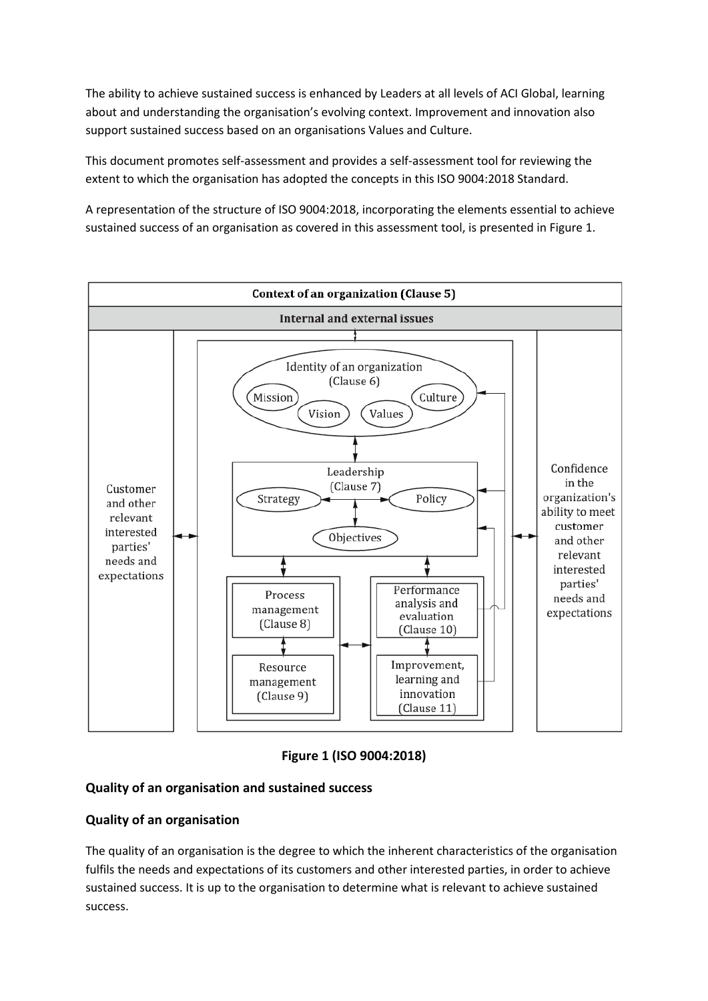The ability to achieve sustained success is enhanced by Leaders at all levels of ACI Global, learning about and understanding the organisation's evolving context. Improvement and innovation also support sustained success based on an organisations Values and Culture.

This document promotes self-assessment and provides a self-assessment tool for reviewing the extent to which the organisation has adopted the concepts in this ISO 9004:2018 Standard.

A representation of the structure of ISO 9004:2018, incorporating the elements essential to achieve sustained success of an organisation as covered in this assessment tool, is presented in Figure 1.



**Figure 1 (ISO 9004:2018)**

# **Quality of an organisation and sustained success**

# **Quality of an organisation**

The quality of an organisation is the degree to which the inherent characteristics of the organisation fulfils the needs and expectations of its customers and other interested parties, in order to achieve sustained success. It is up to the organisation to determine what is relevant to achieve sustained success.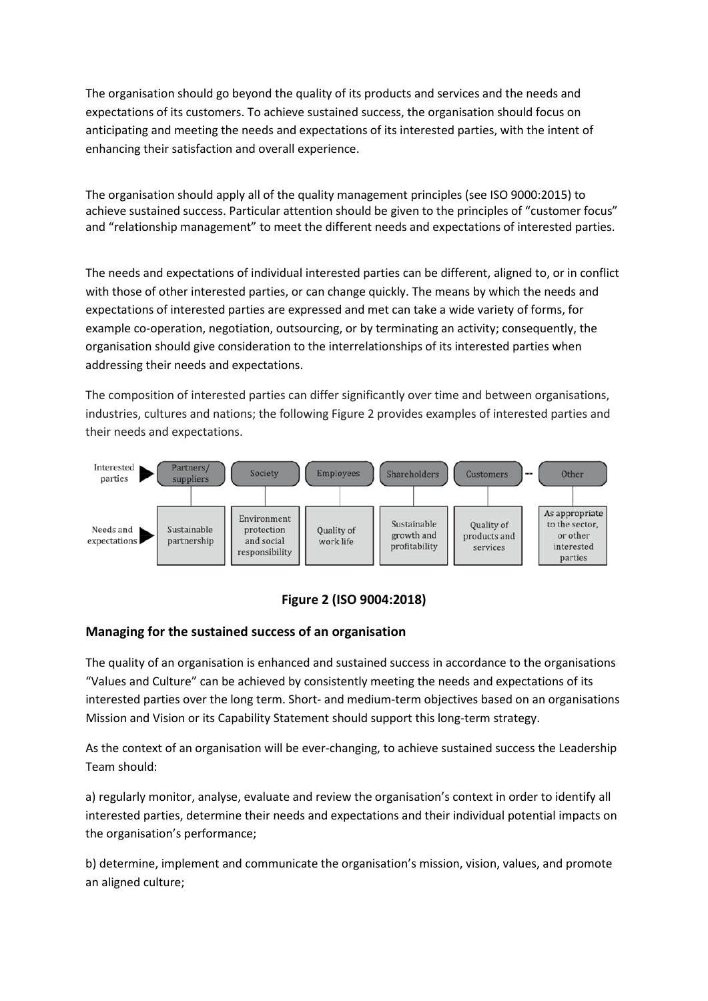The organisation should go beyond the quality of its products and services and the needs and expectations of its customers. To achieve sustained success, the organisation should focus on anticipating and meeting the needs and expectations of its interested parties, with the intent of enhancing their satisfaction and overall experience.

The organisation should apply all of the quality management principles (see ISO 9000:2015) to achieve sustained success. Particular attention should be given to the principles of "customer focus" and "relationship management" to meet the different needs and expectations of interested parties.

The needs and expectations of individual interested parties can be different, aligned to, or in conflict with those of other interested parties, or can change quickly. The means by which the needs and expectations of interested parties are expressed and met can take a wide variety of forms, for example co-operation, negotiation, outsourcing, or by terminating an activity; consequently, the organisation should give consideration to the interrelationships of its interested parties when addressing their needs and expectations.

The composition of interested parties can differ significantly over time and between organisations, industries, cultures and nations; the following Figure 2 provides examples of interested parties and their needs and expectations.



# **Figure 2 (ISO 9004:2018)**

## **Managing for the sustained success of an organisation**

The quality of an organisation is enhanced and sustained success in accordance to the organisations "Values and Culture" can be achieved by consistently meeting the needs and expectations of its interested parties over the long term. Short- and medium-term objectives based on an organisations Mission and Vision or its Capability Statement should support this long-term strategy.

As the context of an organisation will be ever-changing, to achieve sustained success the Leadership Team should:

a) regularly monitor, analyse, evaluate and review the organisation's context in order to identify all interested parties, determine their needs and expectations and their individual potential impacts on the organisation's performance;

b) determine, implement and communicate the organisation's mission, vision, values, and promote an aligned culture;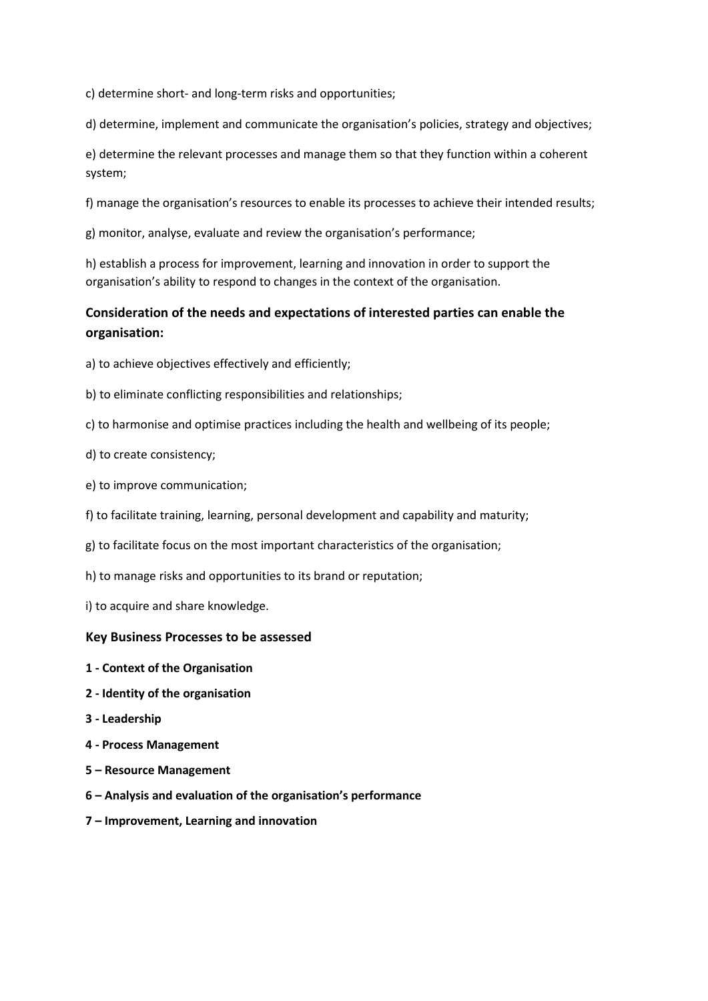c) determine short- and long-term risks and opportunities;

d) determine, implement and communicate the organisation's policies, strategy and objectives;

e) determine the relevant processes and manage them so that they function within a coherent system;

f) manage the organisation's resources to enable its processes to achieve their intended results;

g) monitor, analyse, evaluate and review the organisation's performance;

h) establish a process for improvement, learning and innovation in order to support the organisation's ability to respond to changes in the context of the organisation.

# **Consideration of the needs and expectations of interested parties can enable the organisation:**

- a) to achieve objectives effectively and efficiently;
- b) to eliminate conflicting responsibilities and relationships;
- c) to harmonise and optimise practices including the health and wellbeing of its people;
- d) to create consistency;
- e) to improve communication;
- f) to facilitate training, learning, personal development and capability and maturity;
- g) to facilitate focus on the most important characteristics of the organisation;
- h) to manage risks and opportunities to its brand or reputation;
- i) to acquire and share knowledge.

#### **Key Business Processes to be assessed**

- **1 - Context of the Organisation**
- **2 - Identity of the organisation**
- **3 - Leadership**
- **4 - Process Management**
- **5 – Resource Management**
- **6 – Analysis and evaluation of the organisation's performance**
- **7 – Improvement, Learning and innovation**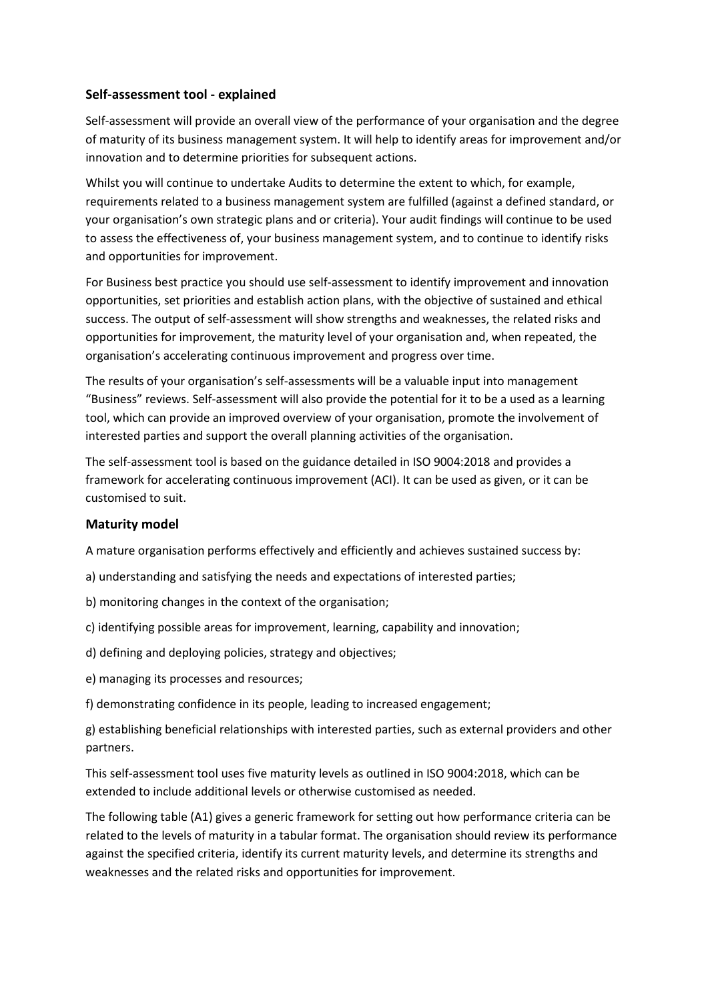## **Self-assessment tool - explained**

Self-assessment will provide an overall view of the performance of your organisation and the degree of maturity of its business management system. It will help to identify areas for improvement and/or innovation and to determine priorities for subsequent actions.

Whilst you will continue to undertake Audits to determine the extent to which, for example, requirements related to a business management system are fulfilled (against a defined standard, or your organisation's own strategic plans and or criteria). Your audit findings will continue to be used to assess the effectiveness of, your business management system, and to continue to identify risks and opportunities for improvement.

For Business best practice you should use self-assessment to identify improvement and innovation opportunities, set priorities and establish action plans, with the objective of sustained and ethical success. The output of self-assessment will show strengths and weaknesses, the related risks and opportunities for improvement, the maturity level of your organisation and, when repeated, the organisation's accelerating continuous improvement and progress over time.

The results of your organisation's self-assessments will be a valuable input into management "Business" reviews. Self-assessment will also provide the potential for it to be a used as a learning tool, which can provide an improved overview of your organisation, promote the involvement of interested parties and support the overall planning activities of the organisation.

The self-assessment tool is based on the guidance detailed in ISO 9004:2018 and provides a framework for accelerating continuous improvement (ACI). It can be used as given, or it can be customised to suit.

## **Maturity model**

A mature organisation performs effectively and efficiently and achieves sustained success by:

- a) understanding and satisfying the needs and expectations of interested parties;
- b) monitoring changes in the context of the organisation;
- c) identifying possible areas for improvement, learning, capability and innovation;
- d) defining and deploying policies, strategy and objectives;
- e) managing its processes and resources;
- f) demonstrating confidence in its people, leading to increased engagement;

g) establishing beneficial relationships with interested parties, such as external providers and other partners.

This self-assessment tool uses five maturity levels as outlined in ISO 9004:2018, which can be extended to include additional levels or otherwise customised as needed.

The following table (A1) gives a generic framework for setting out how performance criteria can be related to the levels of maturity in a tabular format. The organisation should review its performance against the specified criteria, identify its current maturity levels, and determine its strengths and weaknesses and the related risks and opportunities for improvement.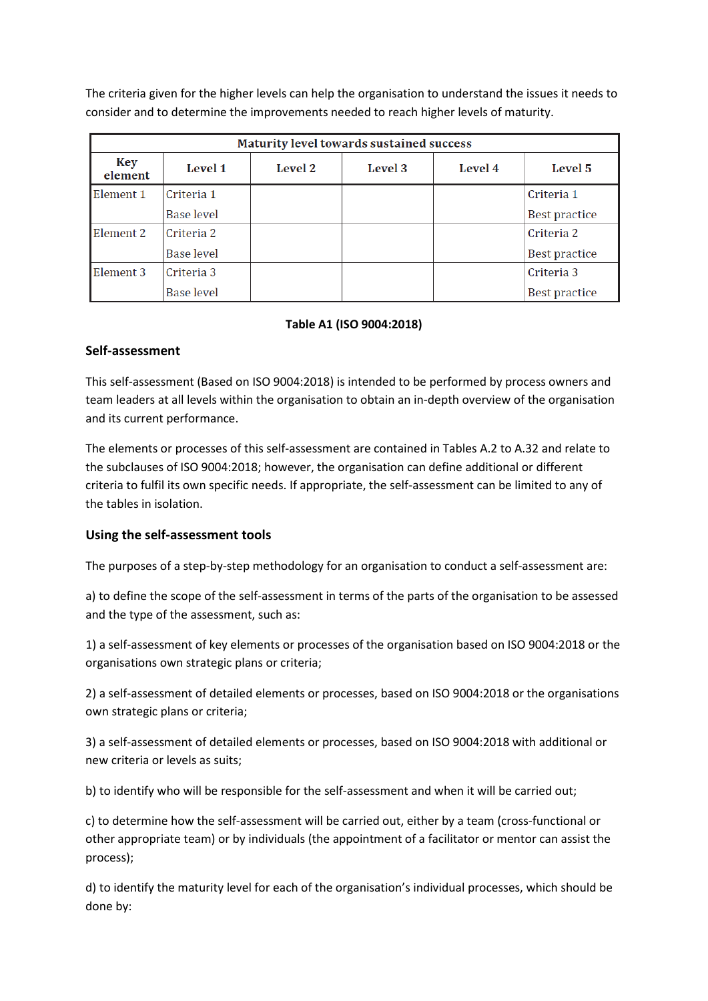The criteria given for the higher levels can help the organisation to understand the issues it needs to consider and to determine the improvements needed to reach higher levels of maturity.

| Maturity level towards sustained success |                   |         |         |         |                      |  |
|------------------------------------------|-------------------|---------|---------|---------|----------------------|--|
| Key<br>element                           | <b>Level 1</b>    | Level 2 | Level 3 | Level 4 | Level 5              |  |
| Element 1                                | Criteria 1        |         |         |         | Criteria 1           |  |
|                                          | <b>Base level</b> |         |         |         | <b>Best practice</b> |  |
| Element 2                                | Criteria 2        |         |         |         | Criteria 2           |  |
|                                          | Base level        |         |         |         | <b>Best practice</b> |  |
| Element 3                                | Criteria 3        |         |         |         | Criteria 3           |  |
|                                          | <b>Base level</b> |         |         |         | Best practice        |  |

## **Table A1 (ISO 9004:2018)**

#### **Self-assessment**

This self-assessment (Based on ISO 9004:2018) is intended to be performed by process owners and team leaders at all levels within the organisation to obtain an in-depth overview of the organisation and its current performance.

The elements or processes of this self-assessment are contained in Tables A.2 to A.32 and relate to the subclauses of ISO 9004:2018; however, the organisation can define additional or different criteria to fulfil its own specific needs. If appropriate, the self-assessment can be limited to any of the tables in isolation.

## **Using the self-assessment tools**

The purposes of a step-by-step methodology for an organisation to conduct a self-assessment are:

a) to define the scope of the self-assessment in terms of the parts of the organisation to be assessed and the type of the assessment, such as:

1) a self-assessment of key elements or processes of the organisation based on ISO 9004:2018 or the organisations own strategic plans or criteria;

2) a self-assessment of detailed elements or processes, based on ISO 9004:2018 or the organisations own strategic plans or criteria;

3) a self-assessment of detailed elements or processes, based on ISO 9004:2018 with additional or new criteria or levels as suits;

b) to identify who will be responsible for the self-assessment and when it will be carried out;

c) to determine how the self-assessment will be carried out, either by a team (cross-functional or other appropriate team) or by individuals (the appointment of a facilitator or mentor can assist the process);

d) to identify the maturity level for each of the organisation's individual processes, which should be done by: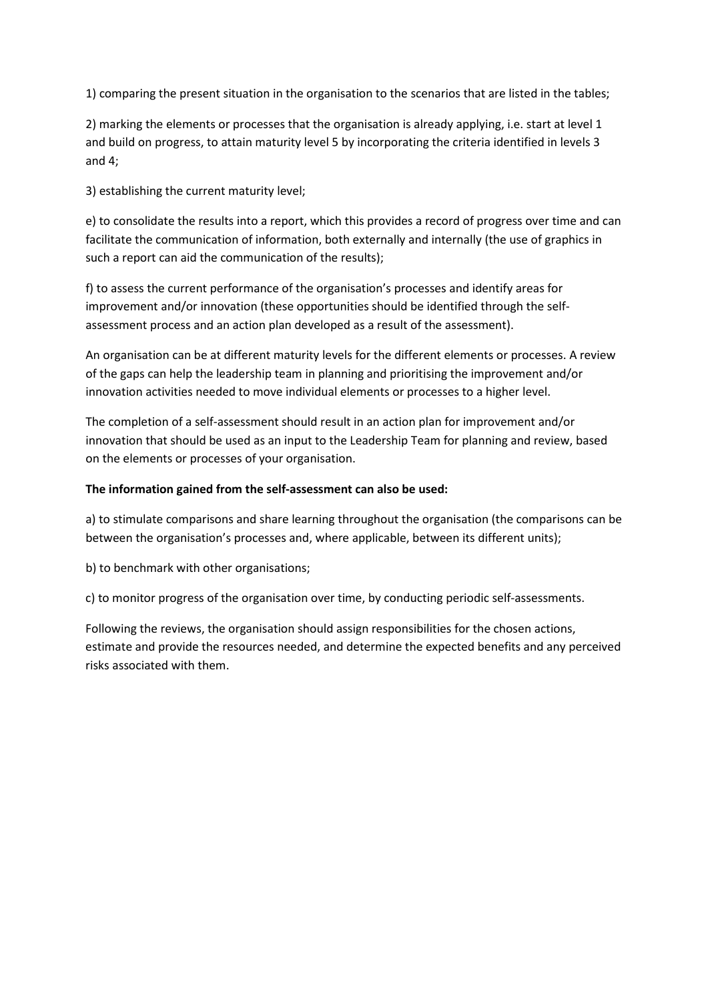1) comparing the present situation in the organisation to the scenarios that are listed in the tables;

2) marking the elements or processes that the organisation is already applying, i.e. start at level 1 and build on progress, to attain maturity level 5 by incorporating the criteria identified in levels 3 and 4;

3) establishing the current maturity level;

e) to consolidate the results into a report, which this provides a record of progress over time and can facilitate the communication of information, both externally and internally (the use of graphics in such a report can aid the communication of the results);

f) to assess the current performance of the organisation's processes and identify areas for improvement and/or innovation (these opportunities should be identified through the selfassessment process and an action plan developed as a result of the assessment).

An organisation can be at different maturity levels for the different elements or processes. A review of the gaps can help the leadership team in planning and prioritising the improvement and/or innovation activities needed to move individual elements or processes to a higher level.

The completion of a self-assessment should result in an action plan for improvement and/or innovation that should be used as an input to the Leadership Team for planning and review, based on the elements or processes of your organisation.

## **The information gained from the self-assessment can also be used:**

a) to stimulate comparisons and share learning throughout the organisation (the comparisons can be between the organisation's processes and, where applicable, between its different units);

b) to benchmark with other organisations;

c) to monitor progress of the organisation over time, by conducting periodic self-assessments.

Following the reviews, the organisation should assign responsibilities for the chosen actions, estimate and provide the resources needed, and determine the expected benefits and any perceived risks associated with them.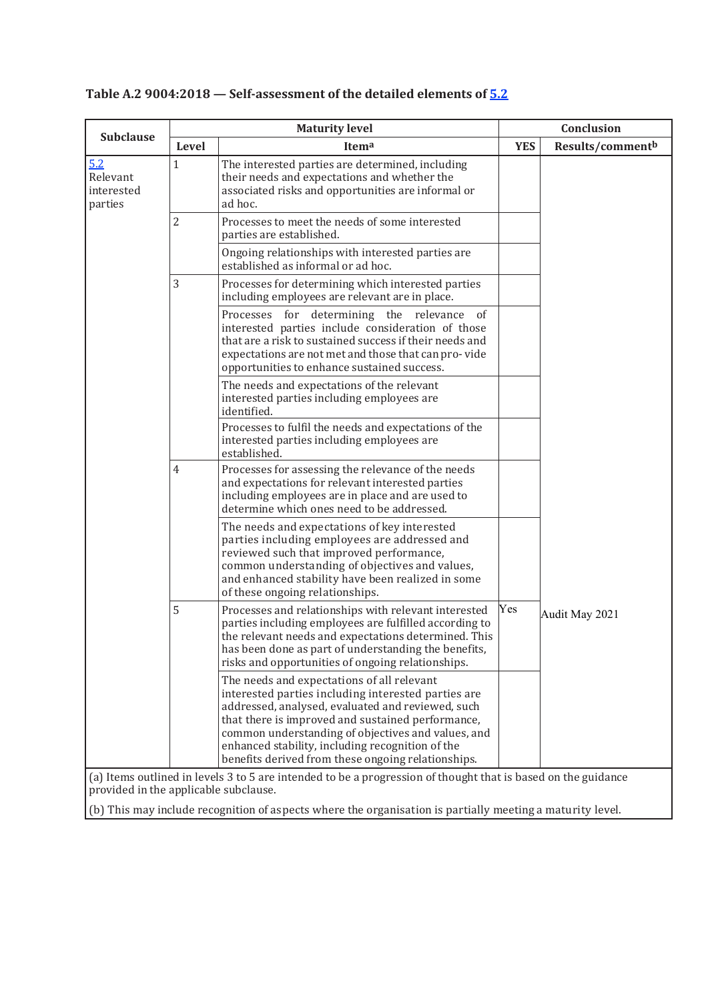|                                          |                | <b>Maturity level</b>                                                                                                                                                                                                                                                                                                                                                                                                                                                                        |            | Conclusion       |
|------------------------------------------|----------------|----------------------------------------------------------------------------------------------------------------------------------------------------------------------------------------------------------------------------------------------------------------------------------------------------------------------------------------------------------------------------------------------------------------------------------------------------------------------------------------------|------------|------------------|
| <b>Subclause</b>                         | Level          | Itema                                                                                                                                                                                                                                                                                                                                                                                                                                                                                        | <b>YES</b> | Results/commentb |
| 5.2<br>Relevant<br>interested<br>parties | 1              | The interested parties are determined, including<br>their needs and expectations and whether the<br>associated risks and opportunities are informal or<br>ad hoc.                                                                                                                                                                                                                                                                                                                            |            |                  |
|                                          | $\overline{2}$ | Processes to meet the needs of some interested<br>parties are established.                                                                                                                                                                                                                                                                                                                                                                                                                   |            |                  |
|                                          |                | Ongoing relationships with interested parties are<br>established as informal or ad hoc.                                                                                                                                                                                                                                                                                                                                                                                                      |            |                  |
|                                          | 3              | Processes for determining which interested parties<br>including employees are relevant are in place.                                                                                                                                                                                                                                                                                                                                                                                         |            |                  |
|                                          |                | Processes for<br>determining the relevance of<br>interested parties include consideration of those<br>that are a risk to sustained success if their needs and<br>expectations are not met and those that can pro-vide<br>opportunities to enhance sustained success.                                                                                                                                                                                                                         |            |                  |
|                                          |                | The needs and expectations of the relevant<br>interested parties including employees are<br>identified.                                                                                                                                                                                                                                                                                                                                                                                      |            |                  |
|                                          |                | Processes to fulfil the needs and expectations of the<br>interested parties including employees are<br>established.                                                                                                                                                                                                                                                                                                                                                                          |            |                  |
|                                          | $\overline{4}$ | Processes for assessing the relevance of the needs<br>and expectations for relevant interested parties<br>including employees are in place and are used to<br>determine which ones need to be addressed.                                                                                                                                                                                                                                                                                     |            |                  |
|                                          |                | The needs and expectations of key interested<br>parties including employees are addressed and<br>reviewed such that improved performance,<br>common understanding of objectives and values,<br>and enhanced stability have been realized in some<br>of these ongoing relationships.                                                                                                                                                                                                          |            |                  |
|                                          | 5              | Processes and relationships with relevant interested<br>parties including employees are fulfilled according to<br>the relevant needs and expectations determined. This<br>has been done as part of understanding the benefits,<br>risks and opportunities of ongoing relationships.                                                                                                                                                                                                          | Yes        | Audit May 2021   |
|                                          |                | The needs and expectations of all relevant<br>interested parties including interested parties are<br>addressed, analysed, evaluated and reviewed, such<br>that there is improved and sustained performance,<br>common understanding of objectives and values, and<br>enhanced stability, including recognition of the<br>benefits derived from these ongoing relationships.<br>(a) Items outlined in levels 3 to 5 are intended to be a progression of thought that is based on the guidance |            |                  |

# **Table A.2 9004:2018 — Self-assessment of the detailed elements of 5.2**

(a) Items outlined in levels 3 to 5 are intended to be a progression of thought that is based on the guidance provided in the applicable subclause.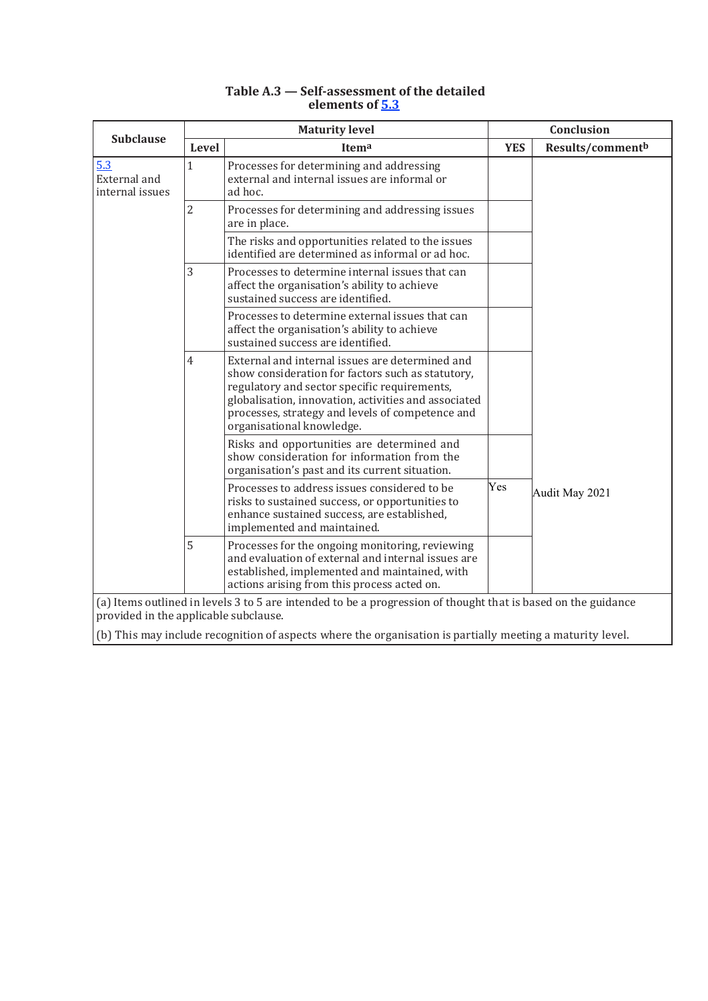|                                        | <b>Maturity level</b> |                                                                                                                                                                                                                                                                                               |            | Conclusion       |  |  |
|----------------------------------------|-----------------------|-----------------------------------------------------------------------------------------------------------------------------------------------------------------------------------------------------------------------------------------------------------------------------------------------|------------|------------------|--|--|
| <b>Subclause</b>                       | Level                 | Itema                                                                                                                                                                                                                                                                                         | <b>YES</b> | Results/commentb |  |  |
| 5.3<br>External and<br>internal issues | $\mathbf{1}$          | Processes for determining and addressing<br>external and internal issues are informal or<br>ad hoc.                                                                                                                                                                                           |            |                  |  |  |
|                                        | $\overline{2}$        | Processes for determining and addressing issues<br>are in place.                                                                                                                                                                                                                              |            |                  |  |  |
|                                        |                       | The risks and opportunities related to the issues<br>identified are determined as informal or ad hoc.                                                                                                                                                                                         |            |                  |  |  |
|                                        | 3                     | Processes to determine internal issues that can<br>affect the organisation's ability to achieve<br>sustained success are identified.                                                                                                                                                          |            |                  |  |  |
|                                        |                       | Processes to determine external issues that can<br>affect the organisation's ability to achieve<br>sustained success are identified.                                                                                                                                                          |            |                  |  |  |
|                                        | $\overline{4}$        | External and internal issues are determined and<br>show consideration for factors such as statutory,<br>regulatory and sector specific requirements,<br>globalisation, innovation, activities and associated<br>processes, strategy and levels of competence and<br>organisational knowledge. |            |                  |  |  |
|                                        |                       | Risks and opportunities are determined and<br>show consideration for information from the<br>organisation's past and its current situation.                                                                                                                                                   |            |                  |  |  |
|                                        |                       | Processes to address issues considered to be<br>risks to sustained success, or opportunities to<br>enhance sustained success, are established,<br>implemented and maintained.                                                                                                                 | Yes        | Audit May 2021   |  |  |
|                                        | 5                     | Processes for the ongoing monitoring, reviewing<br>and evaluation of external and internal issues are<br>established, implemented and maintained, with<br>actions arising from this process acted on.                                                                                         |            |                  |  |  |
| provided in the applicable subclause.  |                       | (a) Items outlined in levels 3 to 5 are intended to be a progression of thought that is based on the guidance                                                                                                                                                                                 |            |                  |  |  |
|                                        |                       | (b) This may include recognition of aspects where the organisation is partially meeting a maturity level.                                                                                                                                                                                     |            |                  |  |  |

#### **Table A.3 — Self-assessment of the detailed elements of 5.3**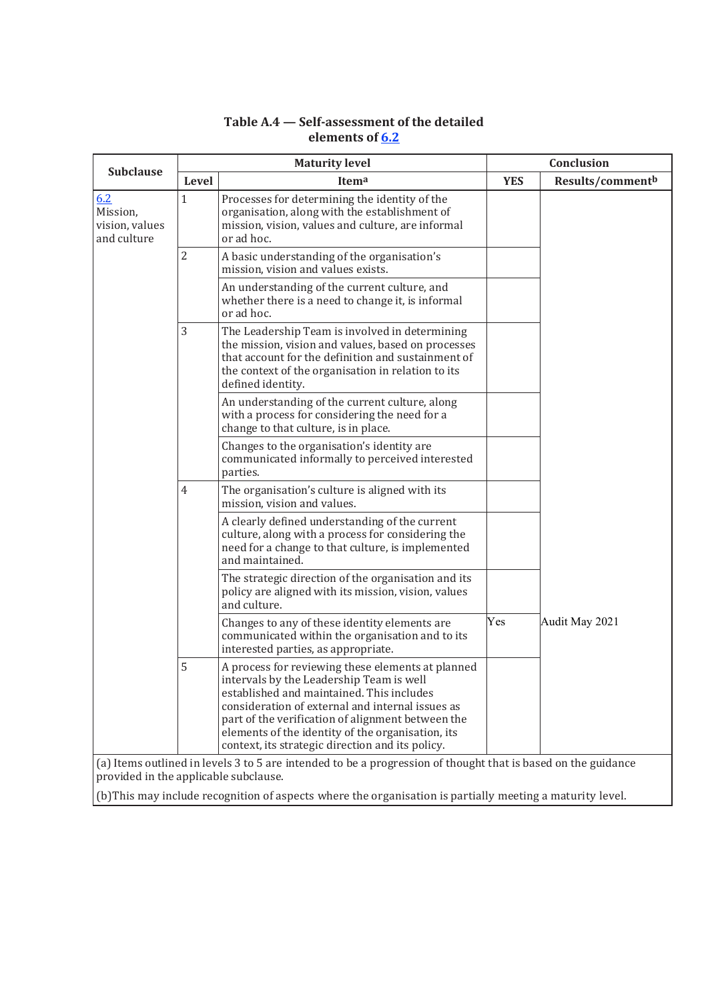|                | <b>Maturity level</b>                                                                                                                                                                                                                                                                                                                                        | Conclusion |                  |
|----------------|--------------------------------------------------------------------------------------------------------------------------------------------------------------------------------------------------------------------------------------------------------------------------------------------------------------------------------------------------------------|------------|------------------|
| Level          | Itema                                                                                                                                                                                                                                                                                                                                                        | <b>YES</b> | Results/commentb |
| $\mathbf{1}$   | Processes for determining the identity of the<br>organisation, along with the establishment of<br>mission, vision, values and culture, are informal<br>or ad hoc.                                                                                                                                                                                            |            |                  |
| $\overline{2}$ | A basic understanding of the organisation's<br>mission, vision and values exists.                                                                                                                                                                                                                                                                            |            |                  |
|                | An understanding of the current culture, and<br>whether there is a need to change it, is informal<br>or ad hoc.                                                                                                                                                                                                                                              |            |                  |
| 3              | The Leadership Team is involved in determining<br>the mission, vision and values, based on processes<br>that account for the definition and sustainment of<br>the context of the organisation in relation to its<br>defined identity.                                                                                                                        |            |                  |
|                | An understanding of the current culture, along<br>with a process for considering the need for a<br>change to that culture, is in place.                                                                                                                                                                                                                      |            |                  |
|                | Changes to the organisation's identity are<br>communicated informally to perceived interested<br>parties.                                                                                                                                                                                                                                                    |            |                  |
| 4              | The organisation's culture is aligned with its<br>mission, vision and values.                                                                                                                                                                                                                                                                                |            |                  |
|                | A clearly defined understanding of the current<br>culture, along with a process for considering the<br>need for a change to that culture, is implemented<br>and maintained.                                                                                                                                                                                  |            |                  |
|                | The strategic direction of the organisation and its<br>policy are aligned with its mission, vision, values<br>and culture.                                                                                                                                                                                                                                   |            |                  |
|                | Changes to any of these identity elements are<br>communicated within the organisation and to its<br>interested parties, as appropriate.                                                                                                                                                                                                                      | Yes        | Audit May 2021   |
| 5              | A process for reviewing these elements at planned<br>intervals by the Leadership Team is well<br>established and maintained. This includes<br>consideration of external and internal issues as<br>part of the verification of alignment between the<br>elements of the identity of the organisation, its<br>context, its strategic direction and its policy. |            |                  |
|                |                                                                                                                                                                                                                                                                                                                                                              |            |                  |

# **Table A.4 — Self-assessment of the detailed elements of 6.2**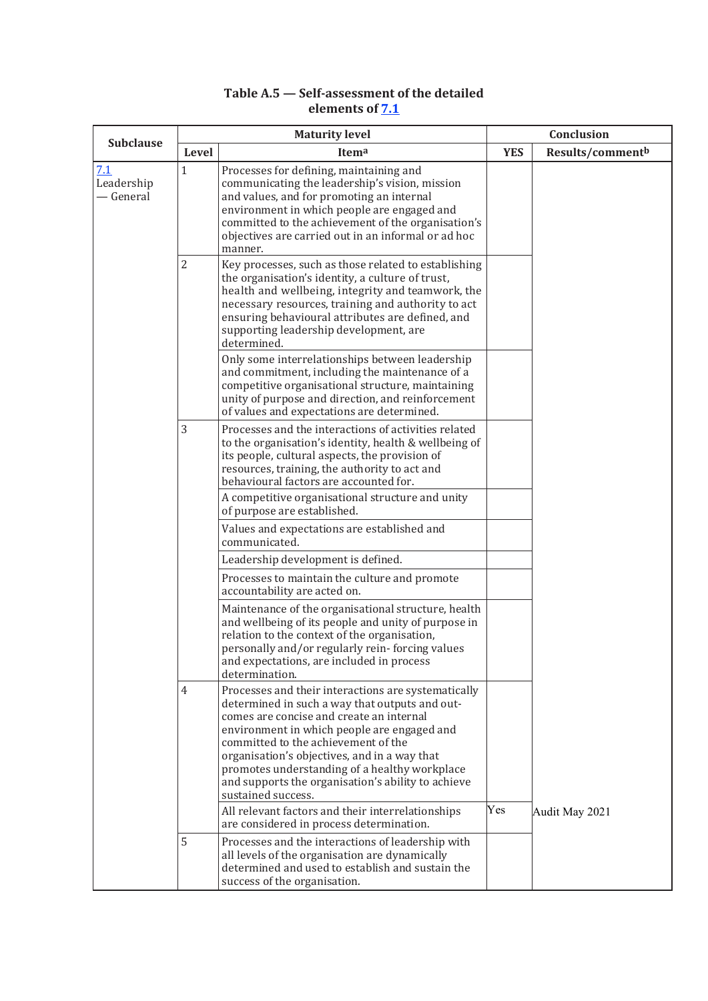# **Table A.5 — Self-assessment of the detailed elements of 7.1**

| <b>Subclause</b>               |                | <b>Maturity level</b>                                                                                                                                                                                                                                                                                                                                                                                                | Conclusion |                              |  |
|--------------------------------|----------------|----------------------------------------------------------------------------------------------------------------------------------------------------------------------------------------------------------------------------------------------------------------------------------------------------------------------------------------------------------------------------------------------------------------------|------------|------------------------------|--|
|                                | Level          | Itema                                                                                                                                                                                                                                                                                                                                                                                                                | <b>YES</b> | Results/comment <sup>b</sup> |  |
| 7.1<br>Leadership<br>— General | $\mathbf 1$    | Processes for defining, maintaining and<br>communicating the leadership's vision, mission<br>and values, and for promoting an internal<br>environment in which people are engaged and<br>committed to the achievement of the organisation's<br>objectives are carried out in an informal or ad hoc<br>manner.                                                                                                        |            |                              |  |
|                                | $\overline{2}$ | Key processes, such as those related to establishing<br>the organisation's identity, a culture of trust,<br>health and wellbeing, integrity and teamwork, the<br>necessary resources, training and authority to act<br>ensuring behavioural attributes are defined, and<br>supporting leadership development, are<br>determined.                                                                                     |            |                              |  |
|                                |                | Only some interrelationships between leadership<br>and commitment, including the maintenance of a<br>competitive organisational structure, maintaining<br>unity of purpose and direction, and reinforcement<br>of values and expectations are determined.                                                                                                                                                            |            |                              |  |
|                                | 3              | Processes and the interactions of activities related<br>to the organisation's identity, health & wellbeing of<br>its people, cultural aspects, the provision of<br>resources, training, the authority to act and<br>behavioural factors are accounted for.<br>A competitive organisational structure and unity                                                                                                       |            |                              |  |
|                                |                | of purpose are established.<br>Values and expectations are established and<br>communicated.                                                                                                                                                                                                                                                                                                                          |            |                              |  |
|                                |                | Leadership development is defined.<br>Processes to maintain the culture and promote<br>accountability are acted on.                                                                                                                                                                                                                                                                                                  |            |                              |  |
|                                |                | Maintenance of the organisational structure, health<br>and wellbeing of its people and unity of purpose in<br>relation to the context of the organisation,<br>personally and/or regularly rein-forcing values<br>and expectations, are included in process<br>determination.                                                                                                                                         |            |                              |  |
|                                | $\overline{4}$ | Processes and their interactions are systematically<br>determined in such a way that outputs and out-<br>comes are concise and create an internal<br>environment in which people are engaged and<br>committed to the achievement of the<br>organisation's objectives, and in a way that<br>promotes understanding of a healthy workplace<br>and supports the organisation's ability to achieve<br>sustained success. |            |                              |  |
|                                |                | All relevant factors and their interrelationships<br>are considered in process determination.                                                                                                                                                                                                                                                                                                                        | Yes        | Audit May 2021               |  |
|                                | 5              | Processes and the interactions of leadership with<br>all levels of the organisation are dynamically<br>determined and used to establish and sustain the<br>success of the organisation.                                                                                                                                                                                                                              |            |                              |  |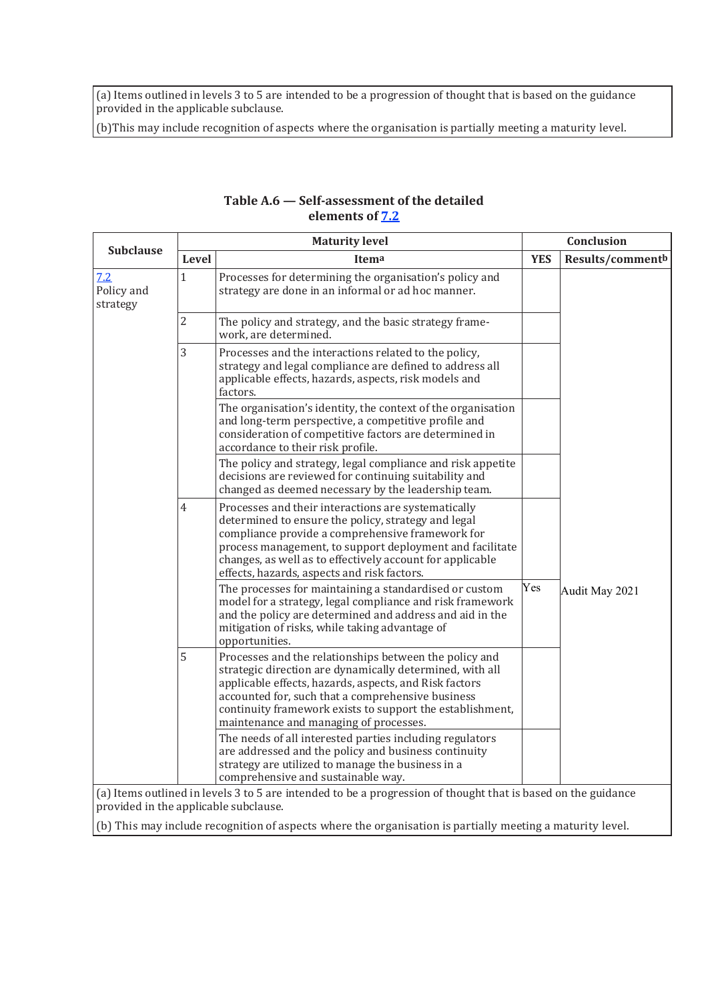(a) Items outlined in levels 3 to 5 are intended to be a progression of thought that is based on the guidance provided in the applicable subclause.

(b)This may include recognition of aspects where the organisation is partially meeting a maturity level.

| <b>Subclause</b>              |                | <b>Maturity level</b>                                                                                                                                                                                                                                                                                                                    |            | Conclusion       |
|-------------------------------|----------------|------------------------------------------------------------------------------------------------------------------------------------------------------------------------------------------------------------------------------------------------------------------------------------------------------------------------------------------|------------|------------------|
|                               | Level          | Itema                                                                                                                                                                                                                                                                                                                                    | <b>YES</b> | Results/commentb |
| 7.2<br>Policy and<br>strategy | $\mathbf{1}$   | Processes for determining the organisation's policy and<br>strategy are done in an informal or ad hoc manner.                                                                                                                                                                                                                            |            |                  |
|                               | $\overline{2}$ | The policy and strategy, and the basic strategy frame-<br>work, are determined.                                                                                                                                                                                                                                                          |            |                  |
|                               | 3              | Processes and the interactions related to the policy,<br>strategy and legal compliance are defined to address all<br>applicable effects, hazards, aspects, risk models and<br>factors.                                                                                                                                                   |            |                  |
|                               |                | The organisation's identity, the context of the organisation<br>and long-term perspective, a competitive profile and<br>consideration of competitive factors are determined in<br>accordance to their risk profile.                                                                                                                      |            |                  |
|                               |                | The policy and strategy, legal compliance and risk appetite<br>decisions are reviewed for continuing suitability and<br>changed as deemed necessary by the leadership team.                                                                                                                                                              |            |                  |
|                               | $\overline{4}$ | Processes and their interactions are systematically<br>determined to ensure the policy, strategy and legal<br>compliance provide a comprehensive framework for<br>process management, to support deployment and facilitate<br>changes, as well as to effectively account for applicable<br>effects, hazards, aspects and risk factors.   |            |                  |
|                               |                | The processes for maintaining a standardised or custom<br>model for a strategy, legal compliance and risk framework<br>and the policy are determined and address and aid in the<br>mitigation of risks, while taking advantage of<br>opportunities.                                                                                      | Yes        | Audit May 2021   |
|                               | 5              | Processes and the relationships between the policy and<br>strategic direction are dynamically determined, with all<br>applicable effects, hazards, aspects, and Risk factors<br>accounted for, such that a comprehensive business<br>continuity framework exists to support the establishment,<br>maintenance and managing of processes. |            |                  |
|                               |                | The needs of all interested parties including regulators<br>are addressed and the policy and business continuity<br>strategy are utilized to manage the business in a<br>comprehensive and sustainable way.<br>(a) Items outlined in levels 3 to 5 are intended to be a progression of thought that is based on the guidance             |            |                  |

## **Table A.6 — Self-assessment of the detailed elements of 7.2**

(a) Items outlined in levels 3 to 5 are intended to be a progression of thought that is based on the guidance provided in the applicable subclause.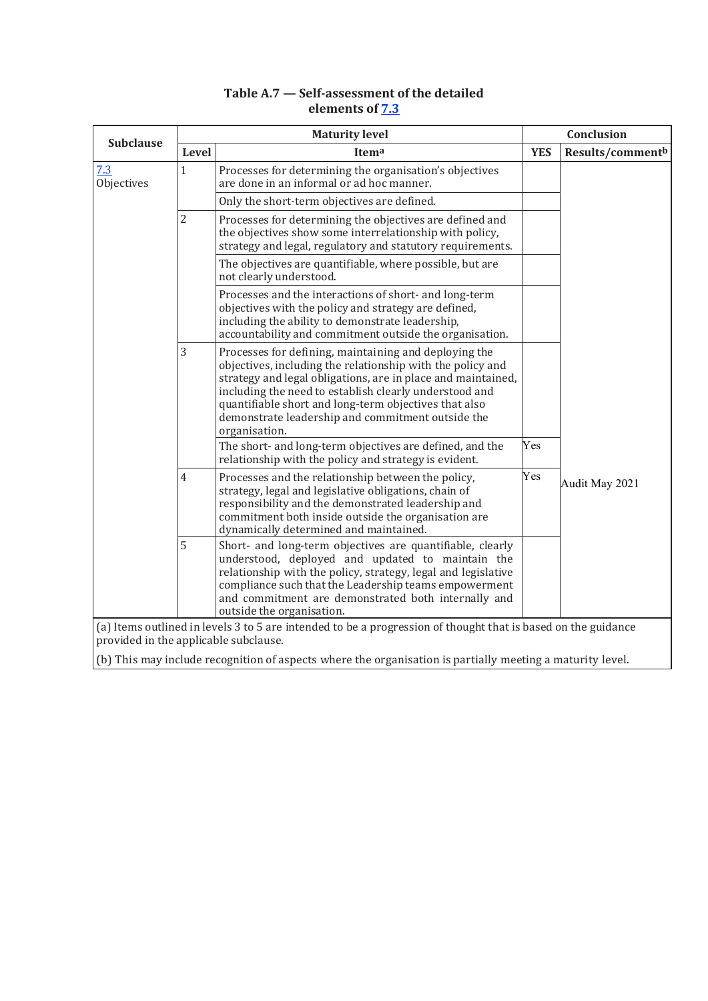# **Table A.7 — Self-assessment of the detailed elements of 7.3**

| <b>Subclause</b>                      |                | <b>Maturity level</b>                                                                                                                                                                                                                                                                                                                                                        |            | Conclusion       |  |  |
|---------------------------------------|----------------|------------------------------------------------------------------------------------------------------------------------------------------------------------------------------------------------------------------------------------------------------------------------------------------------------------------------------------------------------------------------------|------------|------------------|--|--|
|                                       | Level          | Itema                                                                                                                                                                                                                                                                                                                                                                        | <b>YES</b> | Results/commentb |  |  |
| 7.3<br>Objectives                     | $\mathbf{1}$   | Processes for determining the organisation's objectives<br>are done in an informal or ad hoc manner.                                                                                                                                                                                                                                                                         |            |                  |  |  |
|                                       |                | Only the short-term objectives are defined.                                                                                                                                                                                                                                                                                                                                  |            |                  |  |  |
|                                       | $\overline{2}$ | Processes for determining the objectives are defined and<br>the objectives show some interrelationship with policy,<br>strategy and legal, regulatory and statutory requirements.                                                                                                                                                                                            |            |                  |  |  |
|                                       |                | The objectives are quantifiable, where possible, but are<br>not clearly understood.                                                                                                                                                                                                                                                                                          |            |                  |  |  |
|                                       |                | Processes and the interactions of short- and long-term<br>objectives with the policy and strategy are defined,<br>including the ability to demonstrate leadership,<br>accountability and commitment outside the organisation.                                                                                                                                                |            |                  |  |  |
|                                       | 3              | Processes for defining, maintaining and deploying the<br>objectives, including the relationship with the policy and<br>strategy and legal obligations, are in place and maintained,<br>including the need to establish clearly understood and<br>quantifiable short and long-term objectives that also<br>demonstrate leadership and commitment outside the<br>organisation. |            |                  |  |  |
|                                       |                | The short- and long-term objectives are defined, and the<br>relationship with the policy and strategy is evident.                                                                                                                                                                                                                                                            | Yes        |                  |  |  |
|                                       | $\overline{4}$ | Processes and the relationship between the policy,<br>strategy, legal and legislative obligations, chain of<br>responsibility and the demonstrated leadership and<br>commitment both inside outside the organisation are<br>dynamically determined and maintained.                                                                                                           | Yes        | Audit May 2021   |  |  |
|                                       | 5              | Short- and long-term objectives are quantifiable, clearly<br>understood, deployed and updated to maintain the<br>relationship with the policy, strategy, legal and legislative<br>compliance such that the Leadership teams empowerment<br>and commitment are demonstrated both internally and<br>outside the organisation.                                                  |            |                  |  |  |
| provided in the applicable subclause. |                | (a) Items outlined in levels 3 to 5 are intended to be a progression of thought that is based on the guidance                                                                                                                                                                                                                                                                |            |                  |  |  |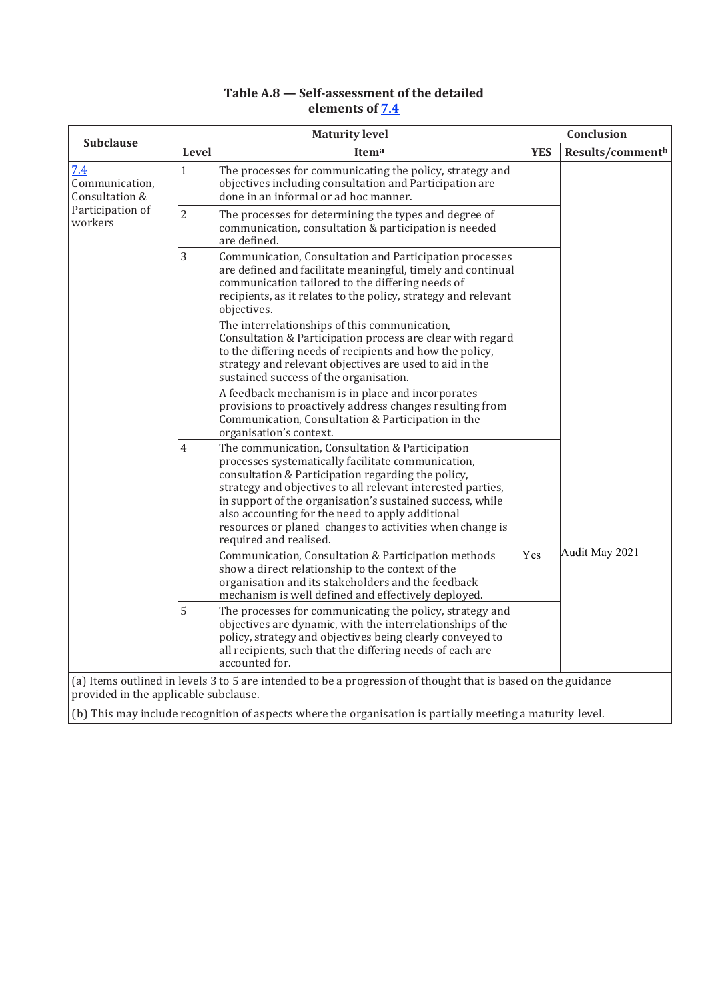# **Table A.8 — Self-assessment of the detailed elements of 7.4**

| <b>Subclause</b>                        | <b>Maturity level</b> |                                                                                                                                                                                                                                                                                                                                                                                                                                   |            | Conclusion       |  |
|-----------------------------------------|-----------------------|-----------------------------------------------------------------------------------------------------------------------------------------------------------------------------------------------------------------------------------------------------------------------------------------------------------------------------------------------------------------------------------------------------------------------------------|------------|------------------|--|
|                                         | Level                 | Itema                                                                                                                                                                                                                                                                                                                                                                                                                             | <b>YES</b> | Results/commentb |  |
| 7.4<br>Communication,<br>Consultation & | $\mathbf{1}$          | The processes for communicating the policy, strategy and<br>objectives including consultation and Participation are<br>done in an informal or ad hoc manner.                                                                                                                                                                                                                                                                      |            |                  |  |
| Participation of<br>workers             | $\overline{2}$        | The processes for determining the types and degree of<br>communication, consultation & participation is needed<br>are defined.                                                                                                                                                                                                                                                                                                    |            |                  |  |
|                                         | 3                     | Communication, Consultation and Participation processes<br>are defined and facilitate meaningful, timely and continual<br>communication tailored to the differing needs of<br>recipients, as it relates to the policy, strategy and relevant<br>objectives.                                                                                                                                                                       |            |                  |  |
|                                         |                       | The interrelationships of this communication,<br>Consultation & Participation process are clear with regard<br>to the differing needs of recipients and how the policy,<br>strategy and relevant objectives are used to aid in the<br>sustained success of the organisation.                                                                                                                                                      |            |                  |  |
|                                         |                       | A feedback mechanism is in place and incorporates<br>provisions to proactively address changes resulting from<br>Communication, Consultation & Participation in the<br>organisation's context.                                                                                                                                                                                                                                    |            |                  |  |
|                                         | 4                     | The communication, Consultation & Participation<br>processes systematically facilitate communication,<br>consultation & Participation regarding the policy,<br>strategy and objectives to all relevant interested parties,<br>in support of the organisation's sustained success, while<br>also accounting for the need to apply additional<br>resources or planed changes to activities when change is<br>required and realised. |            |                  |  |
|                                         |                       | Communication, Consultation & Participation methods<br>show a direct relationship to the context of the<br>organisation and its stakeholders and the feedback<br>mechanism is well defined and effectively deployed.                                                                                                                                                                                                              | Yes        | Audit May 2021   |  |
|                                         | 5                     | The processes for communicating the policy, strategy and<br>objectives are dynamic, with the interrelationships of the<br>policy, strategy and objectives being clearly conveyed to<br>all recipients, such that the differing needs of each are<br>accounted for.                                                                                                                                                                |            |                  |  |
| provided in the applicable subclause.   |                       | (a) Items outlined in levels 3 to 5 are intended to be a progression of thought that is based on the guidance                                                                                                                                                                                                                                                                                                                     |            |                  |  |
|                                         |                       | (b) This may include recognition of aspects where the organisation is partially meeting a maturity level.                                                                                                                                                                                                                                                                                                                         |            |                  |  |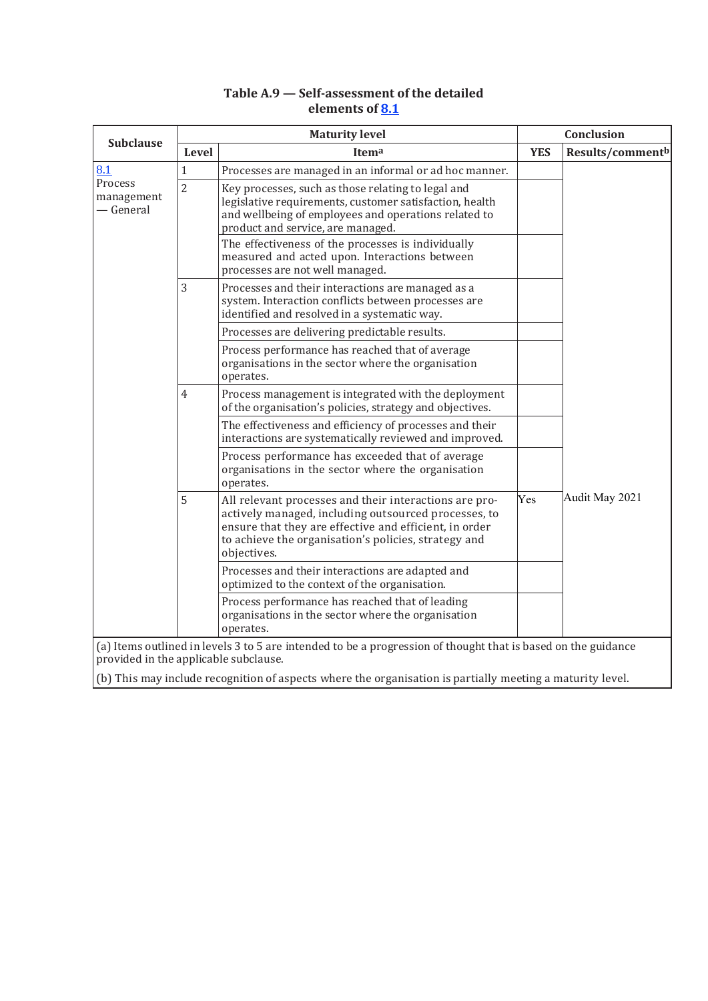# **Table A.9 — Self-assessment of the detailed elements of 8.1**

| <b>Subclause</b>                      | <b>Maturity level</b> |                                                                                                                                                                                                                                                 |            | Conclusion                   |  |
|---------------------------------------|-----------------------|-------------------------------------------------------------------------------------------------------------------------------------------------------------------------------------------------------------------------------------------------|------------|------------------------------|--|
|                                       | Level                 | Itema                                                                                                                                                                                                                                           | <b>YES</b> | Results/comment <sup>b</sup> |  |
| 8.1                                   | $\mathbf{1}$          | Processes are managed in an informal or ad hoc manner.                                                                                                                                                                                          |            |                              |  |
| Process<br>management<br>— General    | $\overline{2}$        | Key processes, such as those relating to legal and<br>legislative requirements, customer satisfaction, health<br>and wellbeing of employees and operations related to<br>product and service, are managed.                                      |            |                              |  |
|                                       |                       | The effectiveness of the processes is individually<br>measured and acted upon. Interactions between<br>processes are not well managed.                                                                                                          |            |                              |  |
|                                       | 3                     | Processes and their interactions are managed as a<br>system. Interaction conflicts between processes are<br>identified and resolved in a systematic way.                                                                                        |            |                              |  |
|                                       |                       | Processes are delivering predictable results.                                                                                                                                                                                                   |            |                              |  |
|                                       |                       | Process performance has reached that of average<br>organisations in the sector where the organisation<br>operates.                                                                                                                              |            |                              |  |
|                                       | $\overline{4}$<br>5   | Process management is integrated with the deployment<br>of the organisation's policies, strategy and objectives.                                                                                                                                |            |                              |  |
|                                       |                       | The effectiveness and efficiency of processes and their<br>interactions are systematically reviewed and improved.                                                                                                                               |            |                              |  |
|                                       |                       | Process performance has exceeded that of average<br>organisations in the sector where the organisation<br>operates.                                                                                                                             |            |                              |  |
|                                       |                       | All relevant processes and their interactions are pro-<br>actively managed, including outsourced processes, to<br>ensure that they are effective and efficient, in order<br>to achieve the organisation's policies, strategy and<br>objectives. | Yes        | Audit May 2021               |  |
|                                       |                       | Processes and their interactions are adapted and<br>optimized to the context of the organisation.                                                                                                                                               |            |                              |  |
|                                       |                       | Process performance has reached that of leading<br>organisations in the sector where the organisation<br>operates.                                                                                                                              |            |                              |  |
| provided in the applicable subclause. |                       | (a) Items outlined in levels 3 to 5 are intended to be a progression of thought that is based on the guidance                                                                                                                                   |            |                              |  |
|                                       |                       | (b) This may include recognition of aspects where the organisation is partially meeting a maturity level.                                                                                                                                       |            |                              |  |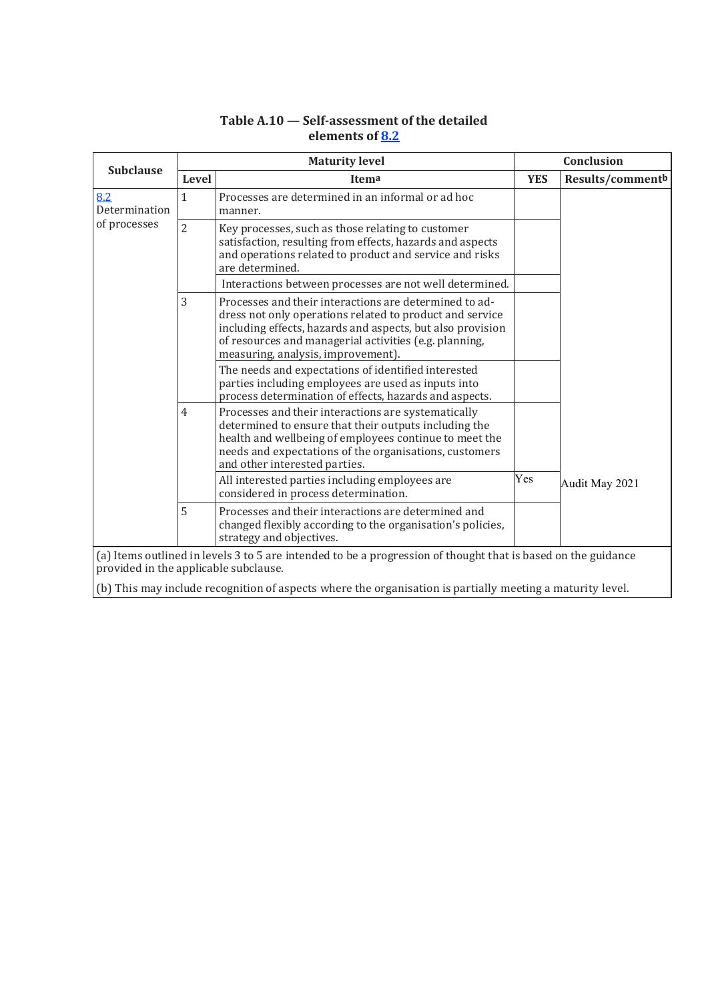|                                                                                                                                                        |                | <b>Maturity level</b>                                                                                                                                                                                                                                                            |            | Conclusion       |  |
|--------------------------------------------------------------------------------------------------------------------------------------------------------|----------------|----------------------------------------------------------------------------------------------------------------------------------------------------------------------------------------------------------------------------------------------------------------------------------|------------|------------------|--|
| <b>Subclause</b>                                                                                                                                       | <b>Level</b>   | Itema                                                                                                                                                                                                                                                                            | <b>YES</b> | Results/commentb |  |
| 8.2<br>Determination                                                                                                                                   | $\mathbf{1}$   | Processes are determined in an informal or ad hoc<br>manner.                                                                                                                                                                                                                     |            |                  |  |
| of processes                                                                                                                                           | $\overline{2}$ | Key processes, such as those relating to customer<br>satisfaction, resulting from effects, hazards and aspects<br>and operations related to product and service and risks<br>are determined.                                                                                     |            |                  |  |
|                                                                                                                                                        |                | Interactions between processes are not well determined.                                                                                                                                                                                                                          |            |                  |  |
|                                                                                                                                                        | 3              | Processes and their interactions are determined to ad-<br>dress not only operations related to product and service<br>including effects, hazards and aspects, but also provision<br>of resources and managerial activities (e.g. planning,<br>measuring, analysis, improvement). |            |                  |  |
|                                                                                                                                                        |                | The needs and expectations of identified interested<br>parties including employees are used as inputs into<br>process determination of effects, hazards and aspects.                                                                                                             |            |                  |  |
|                                                                                                                                                        | 4              | Processes and their interactions are systematically<br>determined to ensure that their outputs including the<br>health and wellbeing of employees continue to meet the<br>needs and expectations of the organisations, customers<br>and other interested parties.                |            |                  |  |
|                                                                                                                                                        |                | All interested parties including employees are<br>considered in process determination.                                                                                                                                                                                           | Yes        | Audit May 2021   |  |
|                                                                                                                                                        | 5              | Processes and their interactions are determined and<br>changed flexibly according to the organisation's policies,<br>strategy and objectives.                                                                                                                                    |            |                  |  |
| (a) Items outlined in levels 3 to 5 are intended to be a progression of thought that is based on the guidance<br>provided in the applicable subclause. |                |                                                                                                                                                                                                                                                                                  |            |                  |  |
|                                                                                                                                                        |                | (b) This may include recognition of aspects where the organisation is partially meeting a maturity level.                                                                                                                                                                        |            |                  |  |

# **Table A.10 — Self-assessment of the detailed elements of 8.2**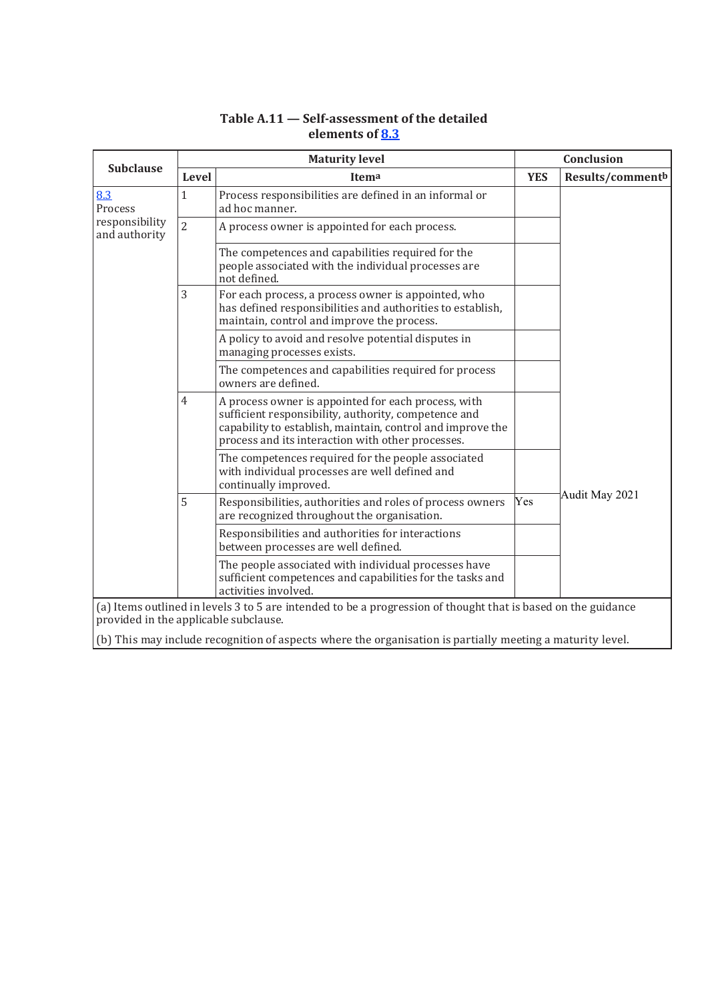# **Table A.11 — Self-assessment of the detailed elements of 8.3**

| <b>Subclause</b>                      | <b>Maturity level</b> |                                                                                                                                                                                                                                |            | Conclusion       |  |
|---------------------------------------|-----------------------|--------------------------------------------------------------------------------------------------------------------------------------------------------------------------------------------------------------------------------|------------|------------------|--|
|                                       | Level                 | Itema                                                                                                                                                                                                                          | <b>YES</b> | Results/commentb |  |
| 8.3<br>Process                        | $\mathbf{1}$          | Process responsibilities are defined in an informal or<br>ad hoc manner.                                                                                                                                                       |            |                  |  |
| responsibility<br>and authority       | $\overline{2}$        | A process owner is appointed for each process.                                                                                                                                                                                 |            |                  |  |
|                                       |                       | The competences and capabilities required for the<br>people associated with the individual processes are<br>not defined.                                                                                                       |            |                  |  |
|                                       | 3                     | For each process, a process owner is appointed, who<br>has defined responsibilities and authorities to establish,<br>maintain, control and improve the process.                                                                |            |                  |  |
|                                       |                       | A policy to avoid and resolve potential disputes in<br>managing processes exists.                                                                                                                                              |            |                  |  |
|                                       |                       | The competences and capabilities required for process<br>owners are defined.                                                                                                                                                   |            |                  |  |
|                                       | 4                     | A process owner is appointed for each process, with<br>sufficient responsibility, authority, competence and<br>capability to establish, maintain, control and improve the<br>process and its interaction with other processes. |            |                  |  |
|                                       |                       | The competences required for the people associated<br>with individual processes are well defined and<br>continually improved.                                                                                                  |            |                  |  |
|                                       | 5                     | Responsibilities, authorities and roles of process owners<br>are recognized throughout the organisation.                                                                                                                       | Yes        | Audit May 2021   |  |
|                                       |                       | Responsibilities and authorities for interactions<br>between processes are well defined.                                                                                                                                       |            |                  |  |
|                                       |                       | The people associated with individual processes have<br>sufficient competences and capabilities for the tasks and<br>activities involved.                                                                                      |            |                  |  |
|                                       |                       | (a) Items outlined in levels 3 to 5 are intended to be a progression of thought that is based on the guidance                                                                                                                  |            |                  |  |
| provided in the applicable subclause. |                       |                                                                                                                                                                                                                                |            |                  |  |
|                                       |                       | (b) This may include recognition of aspects where the organisation is partially meeting a maturity level.                                                                                                                      |            |                  |  |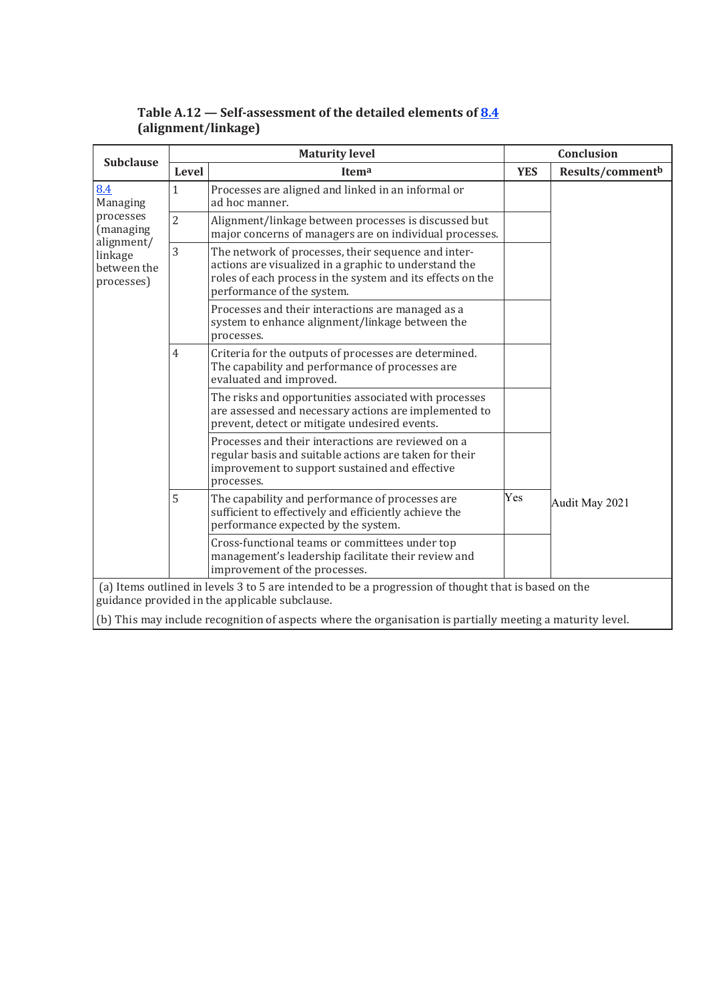| <b>Subclause</b>                                                                                |                     | <b>Maturity level</b>                                                                                                                                                                                    |            | <b>Conclusion</b> |  |  |
|-------------------------------------------------------------------------------------------------|---------------------|----------------------------------------------------------------------------------------------------------------------------------------------------------------------------------------------------------|------------|-------------------|--|--|
|                                                                                                 | Level               | Itema                                                                                                                                                                                                    | <b>YES</b> | Results/commentb  |  |  |
| 8.4<br>Managing<br>processes<br>(managing<br>alignment/<br>linkage<br>between the<br>processes) | $\mathbf{1}$        | Processes are aligned and linked in an informal or<br>ad hoc manner.                                                                                                                                     |            |                   |  |  |
|                                                                                                 | $\overline{2}$      | Alignment/linkage between processes is discussed but<br>major concerns of managers are on individual processes.                                                                                          |            |                   |  |  |
|                                                                                                 | 3                   | The network of processes, their sequence and inter-<br>actions are visualized in a graphic to understand the<br>roles of each process in the system and its effects on the<br>performance of the system. |            |                   |  |  |
|                                                                                                 |                     | Processes and their interactions are managed as a<br>system to enhance alignment/linkage between the<br>processes.                                                                                       |            |                   |  |  |
|                                                                                                 | $\overline{4}$<br>5 | Criteria for the outputs of processes are determined.<br>The capability and performance of processes are<br>evaluated and improved.                                                                      |            |                   |  |  |
|                                                                                                 |                     | The risks and opportunities associated with processes<br>are assessed and necessary actions are implemented to<br>prevent, detect or mitigate undesired events.                                          |            |                   |  |  |
|                                                                                                 |                     | Processes and their interactions are reviewed on a<br>regular basis and suitable actions are taken for their<br>improvement to support sustained and effective<br>processes.                             |            |                   |  |  |
|                                                                                                 |                     | The capability and performance of processes are<br>sufficient to effectively and efficiently achieve the<br>performance expected by the system.                                                          | Yes        | Audit May 2021    |  |  |
|                                                                                                 |                     | Cross-functional teams or committees under top<br>management's leadership facilitate their review and<br>improvement of the processes.                                                                   |            |                   |  |  |
|                                                                                                 |                     | (a) Items outlined in levels 3 to 5 are intended to be a progression of thought that is based on the<br>guidance provided in the applicable subclause.                                                   |            |                   |  |  |
|                                                                                                 |                     | (b) This may include recognition of aspects where the organisation is partially meeting a maturity level.                                                                                                |            |                   |  |  |

# **Table A.12 — Self-assessment of the detailed elements of 8.4 (alignment/linkage)**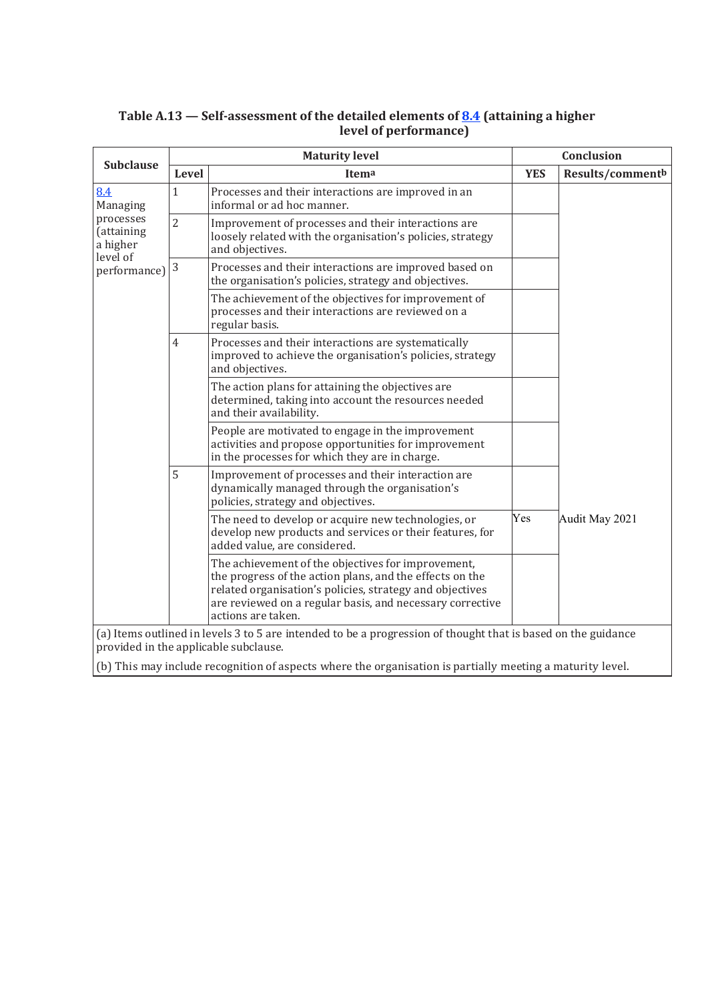| <b>Subclause</b>                                |                     | <b>Maturity level</b>                                                                                                                                                                                                                                         | Conclusion |                  |  |
|-------------------------------------------------|---------------------|---------------------------------------------------------------------------------------------------------------------------------------------------------------------------------------------------------------------------------------------------------------|------------|------------------|--|
|                                                 | Level               | Itema                                                                                                                                                                                                                                                         | <b>YES</b> | Results/commentb |  |
| 8.4<br>Managing                                 | $\mathbf{1}$        | Processes and their interactions are improved in an<br>informal or ad hoc manner.                                                                                                                                                                             |            |                  |  |
| processes<br>(attaining<br>a higher<br>level of | $\overline{2}$      | Improvement of processes and their interactions are<br>loosely related with the organisation's policies, strategy<br>and objectives.                                                                                                                          |            |                  |  |
| performance)                                    | $\sqrt{3}$          | Processes and their interactions are improved based on<br>the organisation's policies, strategy and objectives.                                                                                                                                               |            |                  |  |
|                                                 |                     | The achievement of the objectives for improvement of<br>processes and their interactions are reviewed on a<br>regular basis.                                                                                                                                  |            |                  |  |
|                                                 | $\overline{4}$<br>5 | Processes and their interactions are systematically<br>improved to achieve the organisation's policies, strategy<br>and objectives.                                                                                                                           |            |                  |  |
|                                                 |                     | The action plans for attaining the objectives are<br>determined, taking into account the resources needed<br>and their availability.                                                                                                                          |            |                  |  |
|                                                 |                     | People are motivated to engage in the improvement<br>activities and propose opportunities for improvement<br>in the processes for which they are in charge.                                                                                                   |            |                  |  |
|                                                 |                     | Improvement of processes and their interaction are<br>dynamically managed through the organisation's<br>policies, strategy and objectives.                                                                                                                    |            |                  |  |
|                                                 |                     | The need to develop or acquire new technologies, or<br>develop new products and services or their features, for<br>added value, are considered.                                                                                                               | Yes        | Audit May 2021   |  |
|                                                 |                     | The achievement of the objectives for improvement,<br>the progress of the action plans, and the effects on the<br>related organisation's policies, strategy and objectives<br>are reviewed on a regular basis, and necessary corrective<br>actions are taken. |            |                  |  |
|                                                 |                     | (a) Items outlined in levels 3 to 5 are intended to be a progression of thought that is based on the guidance<br>provided in the applicable subclause.                                                                                                        |            |                  |  |
|                                                 |                     | (b) This may include recognition of aspects where the organisation is partially meeting a maturity level.                                                                                                                                                     |            |                  |  |

## **Table A.13 — Self-assessment of the detailed elements of 8.4 (attaining a higher level of performance)**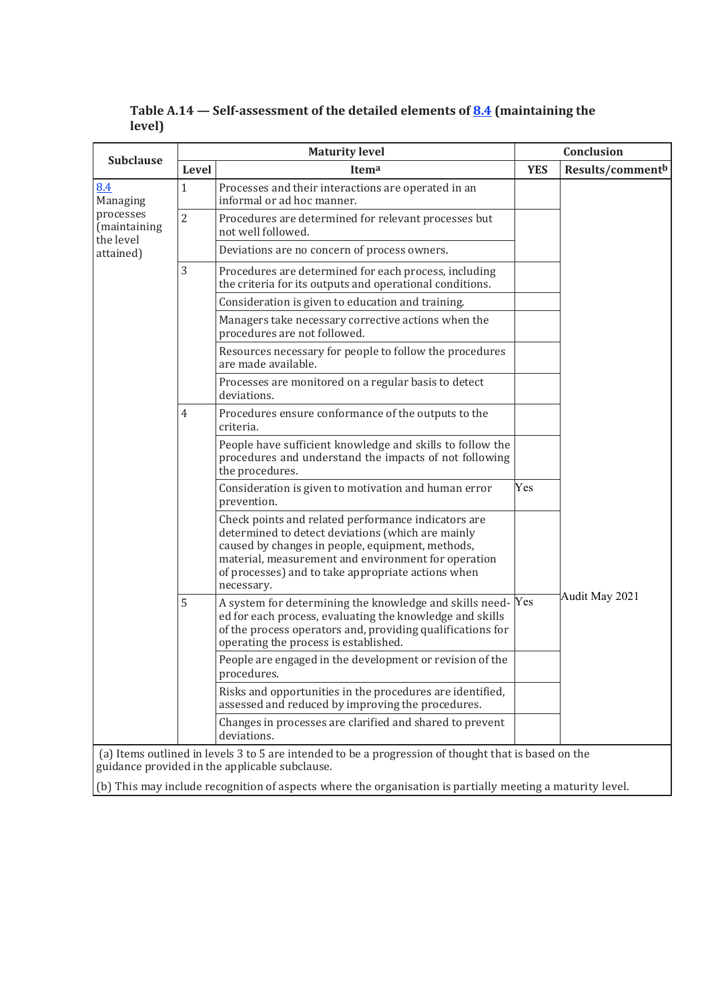| <b>Subclause</b>                       |                | <b>Maturity level</b>                                                                                                                                                                                                                                                                   | Conclusion |                  |
|----------------------------------------|----------------|-----------------------------------------------------------------------------------------------------------------------------------------------------------------------------------------------------------------------------------------------------------------------------------------|------------|------------------|
|                                        | Level          | Itema                                                                                                                                                                                                                                                                                   | <b>YES</b> | Results/commentb |
| 8.4<br>Managing                        | 1              | Processes and their interactions are operated in an<br>informal or ad hoc manner.                                                                                                                                                                                                       |            |                  |
| processes<br>(maintaining<br>the level | $\overline{2}$ | Procedures are determined for relevant processes but<br>not well followed.                                                                                                                                                                                                              |            |                  |
| attained)                              |                | Deviations are no concern of process owners.                                                                                                                                                                                                                                            |            |                  |
|                                        | 3              | Procedures are determined for each process, including<br>the criteria for its outputs and operational conditions.                                                                                                                                                                       |            |                  |
|                                        |                | Consideration is given to education and training.                                                                                                                                                                                                                                       |            |                  |
|                                        |                | Managers take necessary corrective actions when the<br>procedures are not followed.                                                                                                                                                                                                     |            |                  |
|                                        |                | Resources necessary for people to follow the procedures<br>are made available.                                                                                                                                                                                                          |            |                  |
|                                        |                | Processes are monitored on a regular basis to detect<br>deviations.                                                                                                                                                                                                                     |            |                  |
|                                        | 4<br>5         | Procedures ensure conformance of the outputs to the<br>criteria.                                                                                                                                                                                                                        |            |                  |
|                                        |                | People have sufficient knowledge and skills to follow the<br>procedures and understand the impacts of not following<br>the procedures.                                                                                                                                                  |            |                  |
|                                        |                | Consideration is given to motivation and human error<br>prevention.                                                                                                                                                                                                                     | Yes        |                  |
|                                        |                | Check points and related performance indicators are<br>determined to detect deviations (which are mainly<br>caused by changes in people, equipment, methods,<br>material, measurement and environment for operation<br>of processes) and to take appropriate actions when<br>necessary. |            |                  |
|                                        |                | A system for determining the knowledge and skills need-Yes<br>ed for each process, evaluating the knowledge and skills<br>of the process operators and, providing qualifications for<br>operating the process is established.                                                           |            | Audit May 2021   |
|                                        |                | People are engaged in the development or revision of the<br>procedures.                                                                                                                                                                                                                 |            |                  |
|                                        |                | Risks and opportunities in the procedures are identified,<br>assessed and reduced by improving the procedures.                                                                                                                                                                          |            |                  |
|                                        |                | Changes in processes are clarified and shared to prevent<br>deviations.                                                                                                                                                                                                                 |            |                  |
|                                        |                | (a) Items outlined in levels 3 to 5 are intended to be a progression of thought that is based on the<br>guidance provided in the applicable subclause.                                                                                                                                  |            |                  |

**Table A.14 — Self-assessment of the detailed elements of 8.4 (maintaining the level)**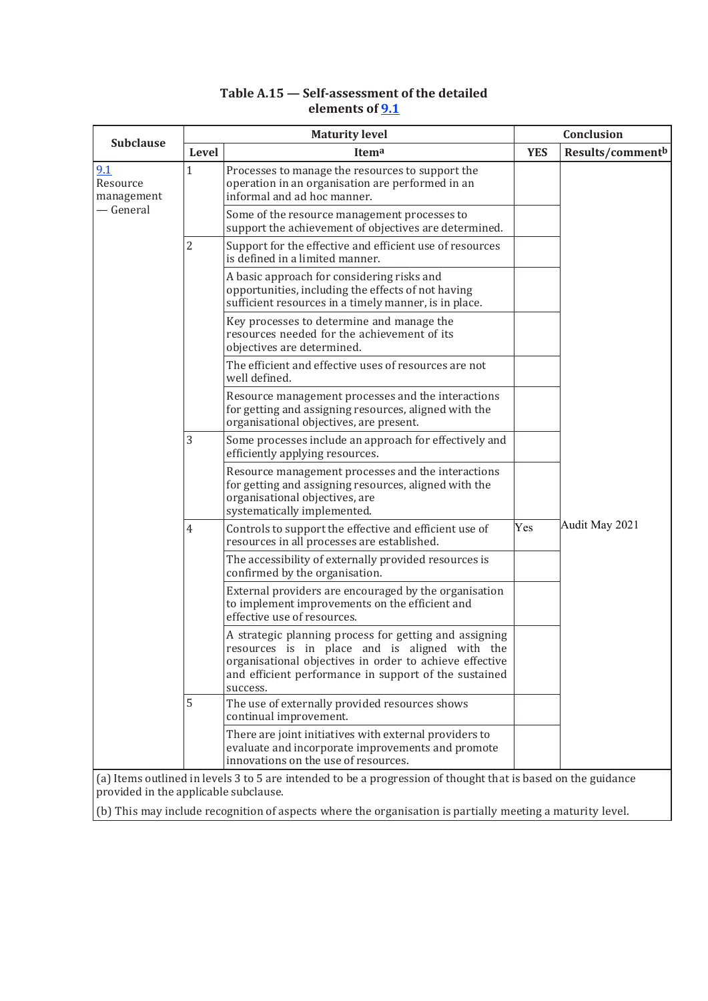## **Table A.15 — Self-assessment of the detailed elements of 9.1**

| <b>Subclause</b>                      |                | <b>Maturity level</b>                                                                                                                                                                                                                   | Conclusion |                              |
|---------------------------------------|----------------|-----------------------------------------------------------------------------------------------------------------------------------------------------------------------------------------------------------------------------------------|------------|------------------------------|
|                                       | Level          | Itema                                                                                                                                                                                                                                   | <b>YES</b> | Results/comment <sup>b</sup> |
| 9.1<br>Resource<br>management         | $\mathbf{1}$   | Processes to manage the resources to support the<br>operation in an organisation are performed in an<br>informal and ad hoc manner.                                                                                                     |            |                              |
| — General                             |                | Some of the resource management processes to<br>support the achievement of objectives are determined.                                                                                                                                   |            |                              |
|                                       | $\overline{2}$ | Support for the effective and efficient use of resources<br>is defined in a limited manner.                                                                                                                                             |            |                              |
|                                       |                | A basic approach for considering risks and<br>opportunities, including the effects of not having<br>sufficient resources in a timely manner, is in place.                                                                               |            |                              |
|                                       |                | Key processes to determine and manage the<br>resources needed for the achievement of its<br>objectives are determined.                                                                                                                  |            |                              |
|                                       |                | The efficient and effective uses of resources are not<br>well defined.                                                                                                                                                                  |            |                              |
|                                       |                | Resource management processes and the interactions<br>for getting and assigning resources, aligned with the<br>organisational objectives, are present.                                                                                  |            |                              |
|                                       | 3              | Some processes include an approach for effectively and<br>efficiently applying resources.                                                                                                                                               |            |                              |
|                                       |                | Resource management processes and the interactions<br>for getting and assigning resources, aligned with the<br>organisational objectives, are<br>systematically implemented.                                                            |            |                              |
|                                       | $\overline{4}$ | Controls to support the effective and efficient use of<br>resources in all processes are established.                                                                                                                                   | Yes        | Audit May 2021               |
|                                       |                | The accessibility of externally provided resources is<br>confirmed by the organisation.                                                                                                                                                 |            |                              |
|                                       |                | External providers are encouraged by the organisation<br>to implement improvements on the efficient and<br>effective use of resources.                                                                                                  |            |                              |
|                                       |                | A strategic planning process for getting and assigning<br>resources is in place and is aligned with the<br>organisational objectives in order to achieve effective<br>and efficient performance in support of the sustained<br>success. |            |                              |
|                                       | 5              | The use of externally provided resources shows<br>continual improvement.                                                                                                                                                                |            |                              |
|                                       |                | There are joint initiatives with external providers to<br>evaluate and incorporate improvements and promote<br>innovations on the use of resources.                                                                                     |            |                              |
|                                       |                | (a) Items outlined in levels 3 to 5 are intended to be a progression of thought that is based on the guidance                                                                                                                           |            |                              |
| provided in the applicable subclause. |                |                                                                                                                                                                                                                                         |            |                              |
|                                       |                | (b) This may include recognition of aspects where the organisation is partially meeting a maturity level.                                                                                                                               |            |                              |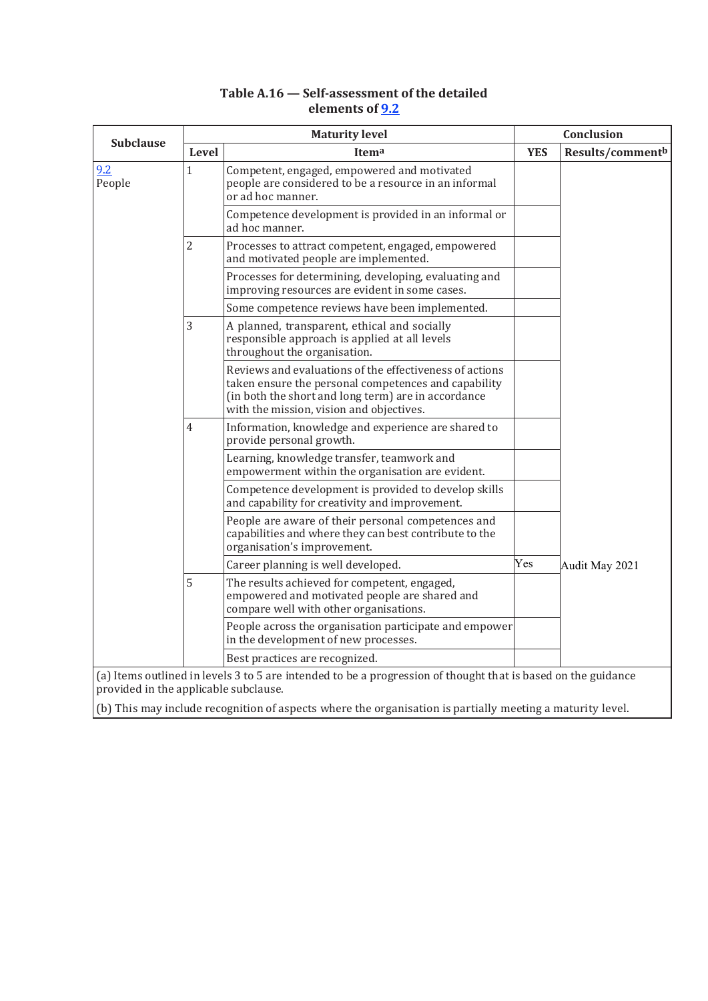| <b>Subclause</b> |                | <b>Maturity level</b>                                                                                                                                                                                              | Conclusion |                              |
|------------------|----------------|--------------------------------------------------------------------------------------------------------------------------------------------------------------------------------------------------------------------|------------|------------------------------|
|                  | Level          | Itema                                                                                                                                                                                                              | <b>YES</b> | Results/comment <sup>b</sup> |
| 9.2<br>People    | $\mathbf{1}$   | Competent, engaged, empowered and motivated<br>people are considered to be a resource in an informal<br>or ad hoc manner.                                                                                          |            |                              |
|                  |                | Competence development is provided in an informal or<br>ad hoc manner.                                                                                                                                             |            |                              |
|                  | $\overline{2}$ | Processes to attract competent, engaged, empowered<br>and motivated people are implemented.                                                                                                                        |            |                              |
|                  |                | Processes for determining, developing, evaluating and<br>improving resources are evident in some cases.                                                                                                            |            |                              |
|                  |                | Some competence reviews have been implemented.                                                                                                                                                                     |            |                              |
|                  | 3              | A planned, transparent, ethical and socially<br>responsible approach is applied at all levels<br>throughout the organisation.                                                                                      |            |                              |
|                  |                | Reviews and evaluations of the effectiveness of actions<br>taken ensure the personal competences and capability<br>(in both the short and long term) are in accordance<br>with the mission, vision and objectives. |            |                              |
|                  | 4              | Information, knowledge and experience are shared to<br>provide personal growth.                                                                                                                                    |            |                              |
|                  |                | Learning, knowledge transfer, teamwork and<br>empowerment within the organisation are evident.                                                                                                                     |            |                              |
|                  |                | Competence development is provided to develop skills<br>and capability for creativity and improvement.                                                                                                             |            |                              |
|                  |                | People are aware of their personal competences and<br>capabilities and where they can best contribute to the<br>organisation's improvement.                                                                        |            |                              |
|                  |                | Career planning is well developed.                                                                                                                                                                                 | Yes        | Audit May 2021               |
|                  | 5              | The results achieved for competent, engaged,<br>empowered and motivated people are shared and<br>compare well with other organisations.                                                                            |            |                              |
|                  |                | People across the organisation participate and empower<br>in the development of new processes.                                                                                                                     |            |                              |
|                  |                | Best practices are recognized.                                                                                                                                                                                     |            |                              |

# **Table A.16 — Self-assessment of the detailed elements of 9.2**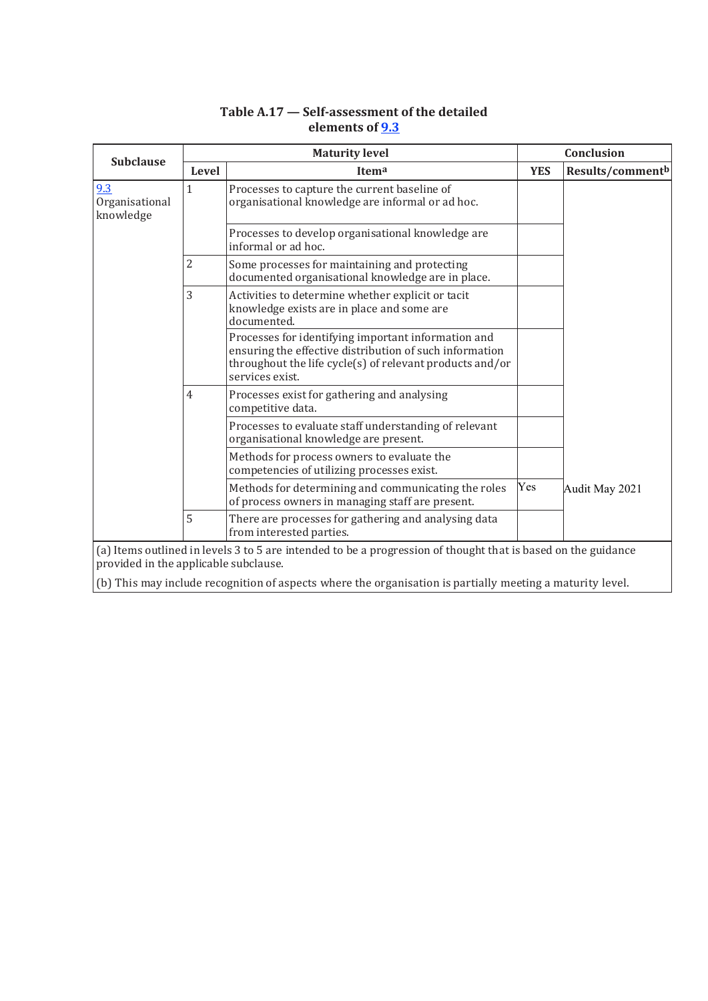# **Table A.17 — Self-assessment of the detailed elements of 9.3**

| <b>Subclause</b>                      |                | <b>Maturity level</b>                                                                                                                                                                         |            | Conclusion                   |  |
|---------------------------------------|----------------|-----------------------------------------------------------------------------------------------------------------------------------------------------------------------------------------------|------------|------------------------------|--|
|                                       | Level          | Itema                                                                                                                                                                                         | <b>YES</b> | Results/comment <sup>b</sup> |  |
| 9.3<br>Organisational<br>knowledge    | $\mathbf{1}$   | Processes to capture the current baseline of<br>organisational knowledge are informal or ad hoc.                                                                                              |            |                              |  |
|                                       |                | Processes to develop organisational knowledge are<br>informal or ad hoc.                                                                                                                      |            |                              |  |
|                                       | 2              | Some processes for maintaining and protecting<br>documented organisational knowledge are in place.                                                                                            |            |                              |  |
|                                       | 3              | Activities to determine whether explicit or tacit<br>knowledge exists are in place and some are<br>documented.                                                                                |            |                              |  |
|                                       |                | Processes for identifying important information and<br>ensuring the effective distribution of such information<br>throughout the life cycle(s) of relevant products and/or<br>services exist. |            |                              |  |
|                                       | $\overline{4}$ | Processes exist for gathering and analysing<br>competitive data.                                                                                                                              |            |                              |  |
|                                       |                | Processes to evaluate staff understanding of relevant<br>organisational knowledge are present.                                                                                                |            |                              |  |
|                                       |                | Methods for process owners to evaluate the<br>competencies of utilizing processes exist.                                                                                                      |            |                              |  |
|                                       |                | Methods for determining and communicating the roles<br>of process owners in managing staff are present.                                                                                       | Yes        | Audit May 2021               |  |
|                                       | 5              | There are processes for gathering and analysing data<br>from interested parties.                                                                                                              |            |                              |  |
| provided in the applicable subclause. |                | (a) Items outlined in levels 3 to 5 are intended to be a progression of thought that is based on the guidance                                                                                 |            |                              |  |
|                                       |                | (b) This may include recognition of aspects where the organisation is partially meeting a maturity level.                                                                                     |            |                              |  |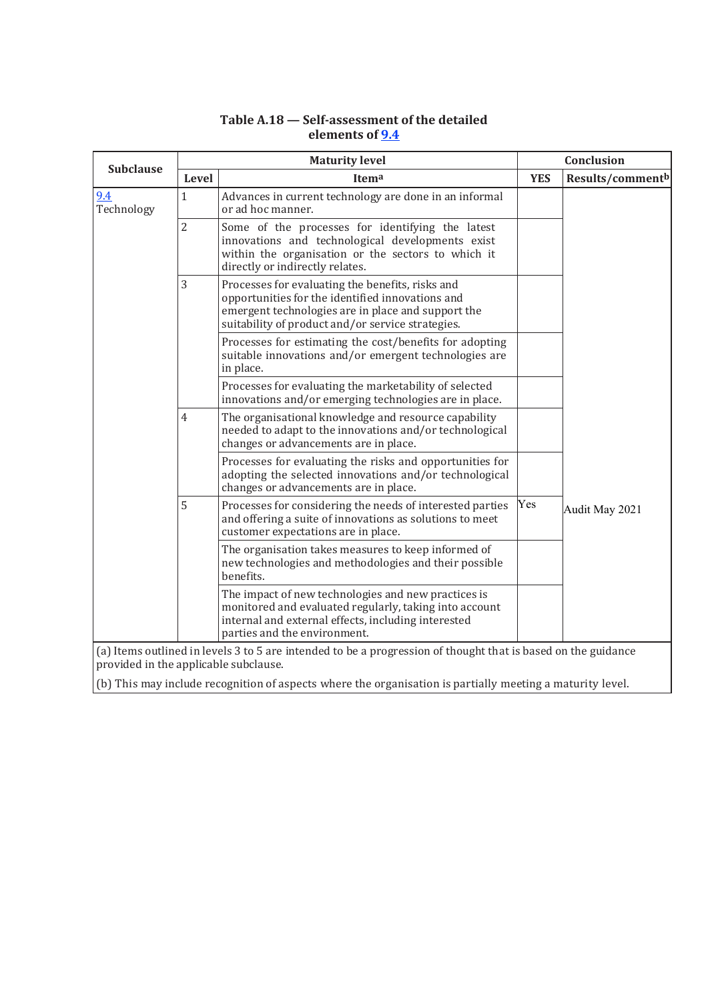# **Table A.18 — Self-assessment of the detailed elements of 9.4**

| <b>Subclause</b>                      |                | <b>Maturity level</b>                                                                                                                                                                                           | Conclusion |                  |
|---------------------------------------|----------------|-----------------------------------------------------------------------------------------------------------------------------------------------------------------------------------------------------------------|------------|------------------|
|                                       | Level          | <b>Itema</b>                                                                                                                                                                                                    | <b>YES</b> | Results/commentb |
| 9.4<br>Technology                     | $\mathbf{1}$   | Advances in current technology are done in an informal<br>or ad hoc manner.                                                                                                                                     |            |                  |
|                                       | $\overline{2}$ | Some of the processes for identifying the latest<br>innovations and technological developments exist<br>within the organisation or the sectors to which it<br>directly or indirectly relates.                   |            |                  |
|                                       | 3              | Processes for evaluating the benefits, risks and<br>opportunities for the identified innovations and<br>emergent technologies are in place and support the<br>suitability of product and/or service strategies. |            |                  |
|                                       |                | Processes for estimating the cost/benefits for adopting<br>suitable innovations and/or emergent technologies are<br>in place.                                                                                   |            |                  |
|                                       |                | Processes for evaluating the marketability of selected<br>innovations and/or emerging technologies are in place.                                                                                                |            |                  |
|                                       | $\overline{4}$ | The organisational knowledge and resource capability<br>needed to adapt to the innovations and/or technological<br>changes or advancements are in place.                                                        |            |                  |
|                                       |                | Processes for evaluating the risks and opportunities for<br>adopting the selected innovations and/or technological<br>changes or advancements are in place.                                                     |            |                  |
|                                       | 5              | Processes for considering the needs of interested parties<br>and offering a suite of innovations as solutions to meet<br>customer expectations are in place.                                                    | Yes        | Audit May 2021   |
|                                       |                | The organisation takes measures to keep informed of<br>new technologies and methodologies and their possible<br>benefits.                                                                                       |            |                  |
|                                       |                | The impact of new technologies and new practices is<br>monitored and evaluated regularly, taking into account<br>internal and external effects, including interested<br>parties and the environment.            |            |                  |
| provided in the applicable subclause. |                | (a) Items outlined in levels 3 to 5 are intended to be a progression of thought that is based on the guidance                                                                                                   |            |                  |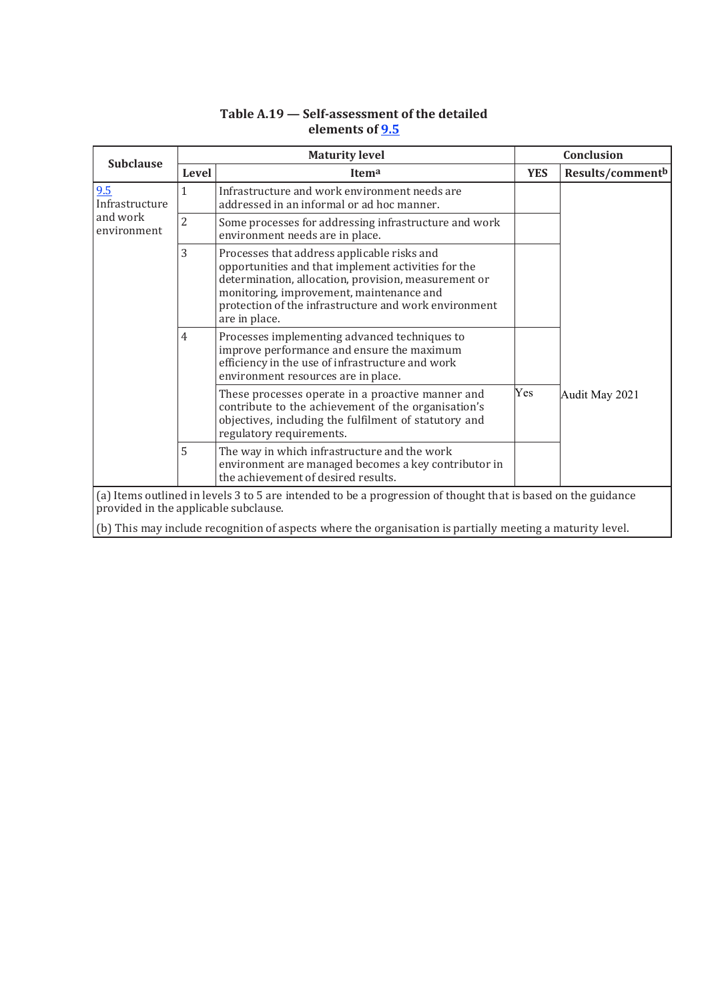| <b>Subclause</b>                      | <b>Maturity level</b> |                                                                                                                                                                                                                                                                                  | Conclusion |                  |
|---------------------------------------|-----------------------|----------------------------------------------------------------------------------------------------------------------------------------------------------------------------------------------------------------------------------------------------------------------------------|------------|------------------|
|                                       | Level                 | Itema                                                                                                                                                                                                                                                                            | <b>YES</b> | Results/commentb |
| 9.5<br>Infrastructure                 | $\mathbf{1}$          | Infrastructure and work environment needs are<br>addressed in an informal or ad hoc manner.                                                                                                                                                                                      |            |                  |
| and work<br>environment               | $\overline{2}$        | Some processes for addressing infrastructure and work<br>environment needs are in place.                                                                                                                                                                                         |            |                  |
|                                       | 3                     | Processes that address applicable risks and<br>opportunities and that implement activities for the<br>determination, allocation, provision, measurement or<br>monitoring, improvement, maintenance and<br>protection of the infrastructure and work environment<br>are in place. |            |                  |
|                                       | $\overline{4}$        | Processes implementing advanced techniques to<br>improve performance and ensure the maximum<br>efficiency in the use of infrastructure and work<br>environment resources are in place.                                                                                           |            |                  |
|                                       |                       | These processes operate in a proactive manner and<br>contribute to the achievement of the organisation's<br>objectives, including the fulfilment of statutory and<br>regulatory requirements.                                                                                    | Yes        | Audit May 2021   |
|                                       | 5                     | The way in which infrastructure and the work<br>environment are managed becomes a key contributor in<br>the achievement of desired results.                                                                                                                                      |            |                  |
| provided in the applicable subclause. |                       | (a) Items outlined in levels 3 to 5 are intended to be a progression of thought that is based on the guidance                                                                                                                                                                    |            |                  |

# **Table A.19 — Self-assessment of the detailed elements of 9.5**

(b) This may include recognition of aspects where the organisation is partially meeting a maturity level.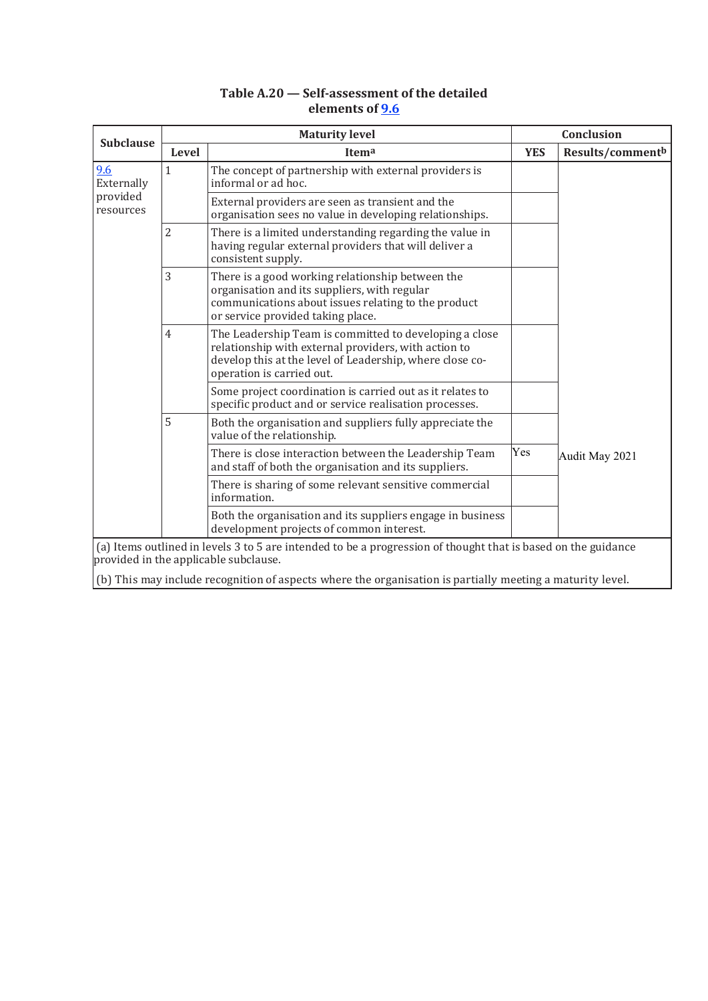| Table A.20 – Self-assessment of the detailed |
|----------------------------------------------|
| elements of 9.6                              |

|                       | <b>Maturity level</b> |                                                                                                                                                                                                         |            | Conclusion       |  |  |
|-----------------------|-----------------------|---------------------------------------------------------------------------------------------------------------------------------------------------------------------------------------------------------|------------|------------------|--|--|
| <b>Subclause</b>      | Level                 | Itema                                                                                                                                                                                                   | <b>YES</b> | Results/commentb |  |  |
| 9.6<br>Externally     | $\mathbf{1}$          | The concept of partnership with external providers is<br>informal or ad hoc.                                                                                                                            |            |                  |  |  |
| provided<br>resources |                       | External providers are seen as transient and the<br>organisation sees no value in developing relationships.                                                                                             |            |                  |  |  |
|                       | 2                     | There is a limited understanding regarding the value in<br>having regular external providers that will deliver a<br>consistent supply.                                                                  |            |                  |  |  |
|                       | 3                     | There is a good working relationship between the<br>organisation and its suppliers, with regular<br>communications about issues relating to the product<br>or service provided taking place.            |            |                  |  |  |
|                       | $\overline{4}$        | The Leadership Team is committed to developing a close<br>relationship with external providers, with action to<br>develop this at the level of Leadership, where close co-<br>operation is carried out. |            |                  |  |  |
|                       |                       | Some project coordination is carried out as it relates to<br>specific product and or service realisation processes.                                                                                     |            |                  |  |  |
|                       | 5                     | Both the organisation and suppliers fully appreciate the<br>value of the relationship.                                                                                                                  |            |                  |  |  |
|                       |                       | There is close interaction between the Leadership Team<br>and staff of both the organisation and its suppliers.                                                                                         | Yes        | Audit May 2021   |  |  |
|                       |                       | There is sharing of some relevant sensitive commercial<br>information.                                                                                                                                  |            |                  |  |  |
|                       |                       | Both the organisation and its suppliers engage in business<br>development projects of common interest.                                                                                                  |            |                  |  |  |
|                       |                       | (a) Items outlined in levels 3 to 5 are intended to be a progression of thought that is based on the guidance<br>provided in the applicable subclause.                                                  |            |                  |  |  |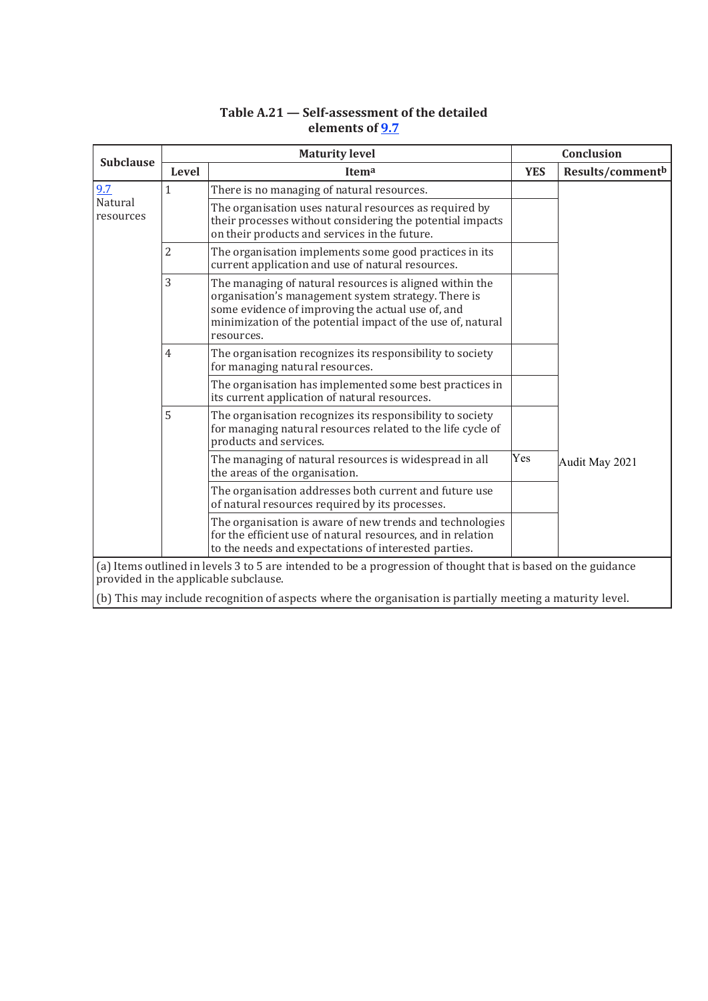|                      |                | <b>Maturity level</b>                                                                                                                                                                                                                            | <b>Conclusion</b> |                  |  |
|----------------------|----------------|--------------------------------------------------------------------------------------------------------------------------------------------------------------------------------------------------------------------------------------------------|-------------------|------------------|--|
| <b>Subclause</b>     | <b>Level</b>   | Itema                                                                                                                                                                                                                                            | <b>YES</b>        | Results/commentb |  |
| 9.7                  | $\mathbf{1}$   | There is no managing of natural resources.                                                                                                                                                                                                       |                   |                  |  |
| Natural<br>resources |                | The organisation uses natural resources as required by<br>their processes without considering the potential impacts<br>on their products and services in the future.                                                                             |                   |                  |  |
|                      | $\overline{2}$ | The organisation implements some good practices in its<br>current application and use of natural resources.                                                                                                                                      |                   |                  |  |
|                      | 3              | The managing of natural resources is aligned within the<br>organisation's management system strategy. There is<br>some evidence of improving the actual use of, and<br>minimization of the potential impact of the use of, natural<br>resources. |                   |                  |  |
|                      | $\overline{4}$ | The organisation recognizes its responsibility to society<br>for managing natural resources.                                                                                                                                                     |                   |                  |  |
|                      |                | The organisation has implemented some best practices in<br>its current application of natural resources.                                                                                                                                         |                   |                  |  |
|                      | 5              | The organisation recognizes its responsibility to society<br>for managing natural resources related to the life cycle of<br>products and services.                                                                                               |                   |                  |  |
|                      |                | The managing of natural resources is widespread in all<br>the areas of the organisation.                                                                                                                                                         | Yes               | Audit May 2021   |  |
|                      |                | The organisation addresses both current and future use<br>of natural resources required by its processes.                                                                                                                                        |                   |                  |  |
|                      |                | The organisation is aware of new trends and technologies<br>for the efficient use of natural resources, and in relation<br>to the needs and expectations of interested parties.                                                                  |                   |                  |  |
|                      |                | (a) Items outlined in levels 3 to 5 are intended to be a progression of thought that is based on the guidance<br>provided in the applicable subclause.                                                                                           |                   |                  |  |
|                      |                | (b) This may include recognition of aspects where the organisation is partially meeting a maturity level.                                                                                                                                        |                   |                  |  |

# **Table A.21 — Self-assessment of the detailed elements of 9.7**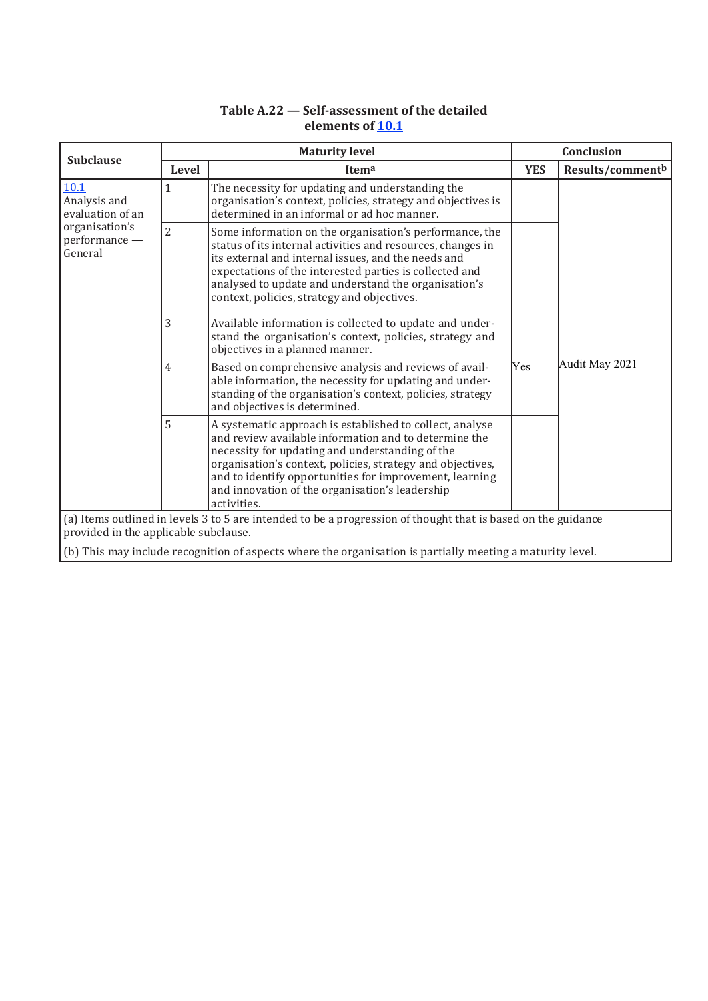# **Table A.22 — Self-assessment of the detailed elements of 10.1**

| <b>Subclause</b>                                                                                                                                       | <b>Maturity level</b> |                                                                                                                                                                                                                                                                                                                                                                 |            | Conclusion       |  |
|--------------------------------------------------------------------------------------------------------------------------------------------------------|-----------------------|-----------------------------------------------------------------------------------------------------------------------------------------------------------------------------------------------------------------------------------------------------------------------------------------------------------------------------------------------------------------|------------|------------------|--|
|                                                                                                                                                        | Level                 | Itema                                                                                                                                                                                                                                                                                                                                                           | <b>YES</b> | Results/commentb |  |
| <b>10.1</b><br>Analysis and<br>evaluation of an<br>organisation's<br>performance -<br>General                                                          | 1                     | The necessity for updating and understanding the<br>organisation's context, policies, strategy and objectives is<br>determined in an informal or ad hoc manner.                                                                                                                                                                                                 |            |                  |  |
|                                                                                                                                                        | $\overline{2}$        | Some information on the organisation's performance, the<br>status of its internal activities and resources, changes in<br>its external and internal issues, and the needs and<br>expectations of the interested parties is collected and<br>analysed to update and understand the organisation's<br>context, policies, strategy and objectives.                 |            |                  |  |
|                                                                                                                                                        | 3                     | Available information is collected to update and under-<br>stand the organisation's context, policies, strategy and<br>objectives in a planned manner.                                                                                                                                                                                                          |            |                  |  |
|                                                                                                                                                        | 4                     | Based on comprehensive analysis and reviews of avail-<br>able information, the necessity for updating and under-<br>standing of the organisation's context, policies, strategy<br>and objectives is determined.                                                                                                                                                 | Yes        | Audit May 2021   |  |
|                                                                                                                                                        | 5                     | A systematic approach is established to collect, analyse<br>and review available information and to determine the<br>necessity for updating and understanding of the<br>organisation's context, policies, strategy and objectives,<br>and to identify opportunities for improvement, learning<br>and innovation of the organisation's leadership<br>activities. |            |                  |  |
| (a) Items outlined in levels 3 to 5 are intended to be a progression of thought that is based on the guidance<br>provided in the applicable subclause. |                       |                                                                                                                                                                                                                                                                                                                                                                 |            |                  |  |
|                                                                                                                                                        |                       | (b) This may include recognition of aspects where the organisation is partially meeting a maturity level.                                                                                                                                                                                                                                                       |            |                  |  |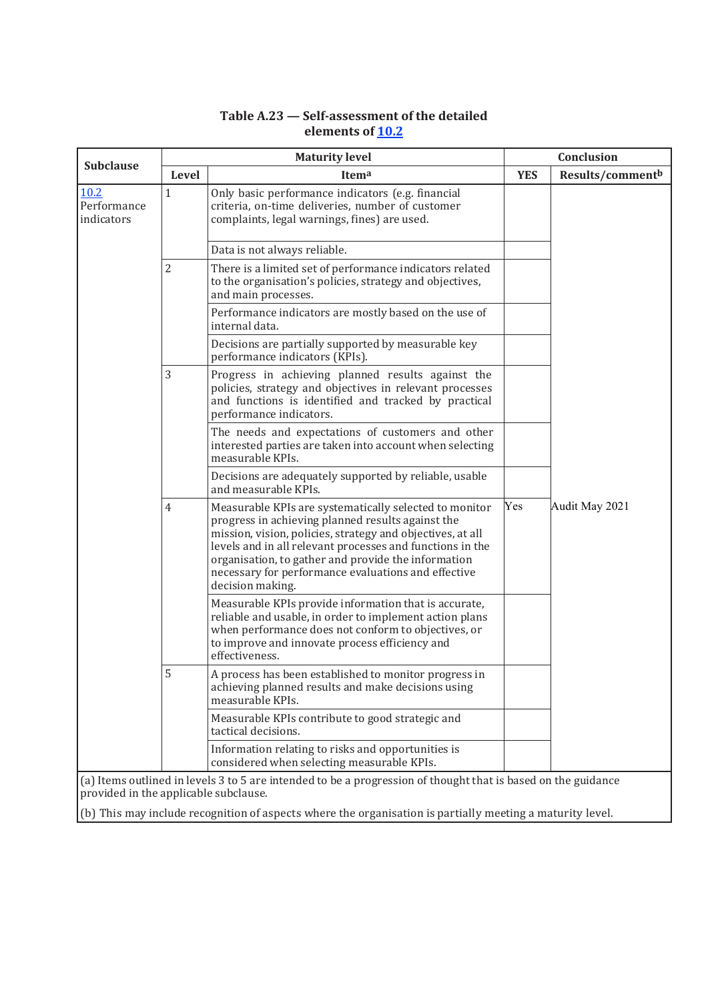# **Table A.23 — Self-assessment of the detailed elements of 10.2**

| <b>Subclause</b>                                                                                          | <b>Maturity level</b> |                                                                                                                                                                                                                                                                                                                                                                          |            | <b>Conclusion</b>            |  |
|-----------------------------------------------------------------------------------------------------------|-----------------------|--------------------------------------------------------------------------------------------------------------------------------------------------------------------------------------------------------------------------------------------------------------------------------------------------------------------------------------------------------------------------|------------|------------------------------|--|
|                                                                                                           | Level                 | Itema                                                                                                                                                                                                                                                                                                                                                                    | <b>YES</b> | Results/comment <sup>b</sup> |  |
| 10.2<br>Performance<br>indicators                                                                         | $\mathbf 1$           | Only basic performance indicators (e.g. financial<br>criteria, on-time deliveries, number of customer<br>complaints, legal warnings, fines) are used.                                                                                                                                                                                                                    |            |                              |  |
|                                                                                                           |                       | Data is not always reliable.                                                                                                                                                                                                                                                                                                                                             |            |                              |  |
|                                                                                                           | $\overline{2}$        | There is a limited set of performance indicators related<br>to the organisation's policies, strategy and objectives,<br>and main processes.                                                                                                                                                                                                                              |            |                              |  |
|                                                                                                           |                       | Performance indicators are mostly based on the use of<br>internal data.                                                                                                                                                                                                                                                                                                  |            |                              |  |
|                                                                                                           |                       | Decisions are partially supported by measurable key<br>performance indicators (KPIs).                                                                                                                                                                                                                                                                                    |            |                              |  |
|                                                                                                           | 3                     | Progress in achieving planned results against the<br>policies, strategy and objectives in relevant processes<br>and functions is identified and tracked by practical<br>performance indicators.                                                                                                                                                                          |            |                              |  |
|                                                                                                           |                       | The needs and expectations of customers and other<br>interested parties are taken into account when selecting<br>measurable KPIs.                                                                                                                                                                                                                                        |            |                              |  |
|                                                                                                           |                       | Decisions are adequately supported by reliable, usable<br>and measurable KPIs.                                                                                                                                                                                                                                                                                           |            |                              |  |
|                                                                                                           | 4                     | Measurable KPIs are systematically selected to monitor<br>progress in achieving planned results against the<br>mission, vision, policies, strategy and objectives, at all<br>levels and in all relevant processes and functions in the<br>organisation, to gather and provide the information<br>necessary for performance evaluations and effective<br>decision making. | Yes        | Audit May 2021               |  |
|                                                                                                           |                       | Measurable KPIs provide information that is accurate,<br>reliable and usable, in order to implement action plans<br>when performance does not conform to objectives, or<br>to improve and innovate process efficiency and<br>effectiveness.                                                                                                                              |            |                              |  |
|                                                                                                           | 5                     | A process has been established to monitor progress in<br>achieving planned results and make decisions using<br>measurable KPIs.                                                                                                                                                                                                                                          |            |                              |  |
|                                                                                                           |                       | Measurable KPIs contribute to good strategic and<br>tactical decisions.                                                                                                                                                                                                                                                                                                  |            |                              |  |
|                                                                                                           |                       | Information relating to risks and opportunities is<br>considered when selecting measurable KPIs.                                                                                                                                                                                                                                                                         |            |                              |  |
|                                                                                                           |                       | (a) Items outlined in levels 3 to 5 are intended to be a progression of thought that is based on the guidance                                                                                                                                                                                                                                                            |            |                              |  |
| provided in the applicable subclause.                                                                     |                       |                                                                                                                                                                                                                                                                                                                                                                          |            |                              |  |
| (b) This may include recognition of aspects where the organisation is partially meeting a maturity level. |                       |                                                                                                                                                                                                                                                                                                                                                                          |            |                              |  |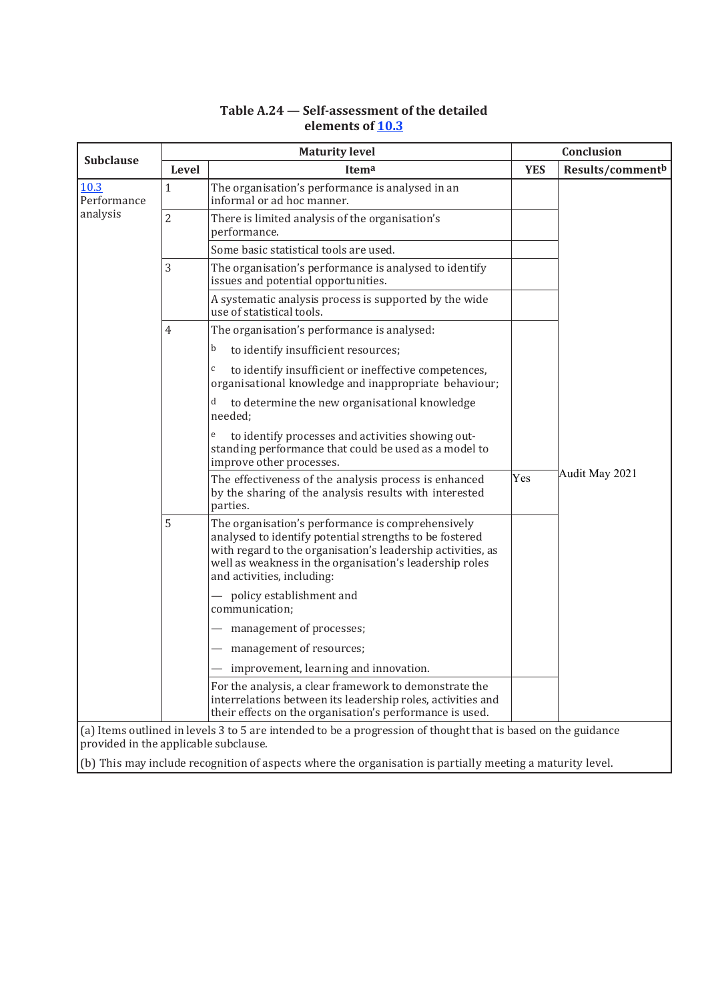| <b>Subclause</b>                | <b>Maturity level</b>                                                                                                                                  |                                                                                                                                                                                                                                                                      |            | Conclusion       |  |  |  |
|---------------------------------|--------------------------------------------------------------------------------------------------------------------------------------------------------|----------------------------------------------------------------------------------------------------------------------------------------------------------------------------------------------------------------------------------------------------------------------|------------|------------------|--|--|--|
|                                 | Level                                                                                                                                                  | Itema                                                                                                                                                                                                                                                                | <b>YES</b> | Results/commentb |  |  |  |
| 10.3<br>Performance<br>analysis | $\mathbf{1}$                                                                                                                                           | The organisation's performance is analysed in an<br>informal or ad hoc manner.                                                                                                                                                                                       |            |                  |  |  |  |
|                                 | $\overline{2}$                                                                                                                                         | There is limited analysis of the organisation's<br>performance.                                                                                                                                                                                                      |            |                  |  |  |  |
|                                 |                                                                                                                                                        | Some basic statistical tools are used.                                                                                                                                                                                                                               |            |                  |  |  |  |
|                                 | 3                                                                                                                                                      | The organisation's performance is analysed to identify<br>issues and potential opportunities.                                                                                                                                                                        |            |                  |  |  |  |
|                                 |                                                                                                                                                        | A systematic analysis process is supported by the wide<br>use of statistical tools.                                                                                                                                                                                  |            |                  |  |  |  |
|                                 | 4                                                                                                                                                      | The organisation's performance is analysed:<br>to identify insufficient resources;<br>b                                                                                                                                                                              |            |                  |  |  |  |
|                                 |                                                                                                                                                        | to identify insufficient or ineffective competences,<br>$\mathsf C$<br>organisational knowledge and inappropriate behaviour;                                                                                                                                         |            |                  |  |  |  |
|                                 |                                                                                                                                                        | d<br>to determine the new organisational knowledge<br>needed;                                                                                                                                                                                                        |            |                  |  |  |  |
|                                 |                                                                                                                                                        | e<br>to identify processes and activities showing out-<br>standing performance that could be used as a model to<br>improve other processes.                                                                                                                          |            |                  |  |  |  |
|                                 |                                                                                                                                                        | The effectiveness of the analysis process is enhanced<br>by the sharing of the analysis results with interested<br>parties.                                                                                                                                          | Yes        | Audit May 2021   |  |  |  |
|                                 | 5                                                                                                                                                      | The organisation's performance is comprehensively<br>analysed to identify potential strengths to be fostered<br>with regard to the organisation's leadership activities, as<br>well as weakness in the organisation's leadership roles<br>and activities, including: |            |                  |  |  |  |
|                                 |                                                                                                                                                        | - policy establishment and<br>communication;                                                                                                                                                                                                                         |            |                  |  |  |  |
|                                 |                                                                                                                                                        | management of processes;                                                                                                                                                                                                                                             |            |                  |  |  |  |
|                                 |                                                                                                                                                        | - management of resources;                                                                                                                                                                                                                                           |            |                  |  |  |  |
|                                 |                                                                                                                                                        | improvement, learning and innovation.                                                                                                                                                                                                                                |            |                  |  |  |  |
|                                 |                                                                                                                                                        | For the analysis, a clear framework to demonstrate the<br>interrelations between its leadership roles, activities and<br>their effects on the organisation's performance is used.                                                                                    |            |                  |  |  |  |
|                                 | (a) Items outlined in levels 3 to 5 are intended to be a progression of thought that is based on the guidance<br>provided in the applicable subclause. |                                                                                                                                                                                                                                                                      |            |                  |  |  |  |

# **Table A.24 — Self-assessment of the detailed elements of 10.3**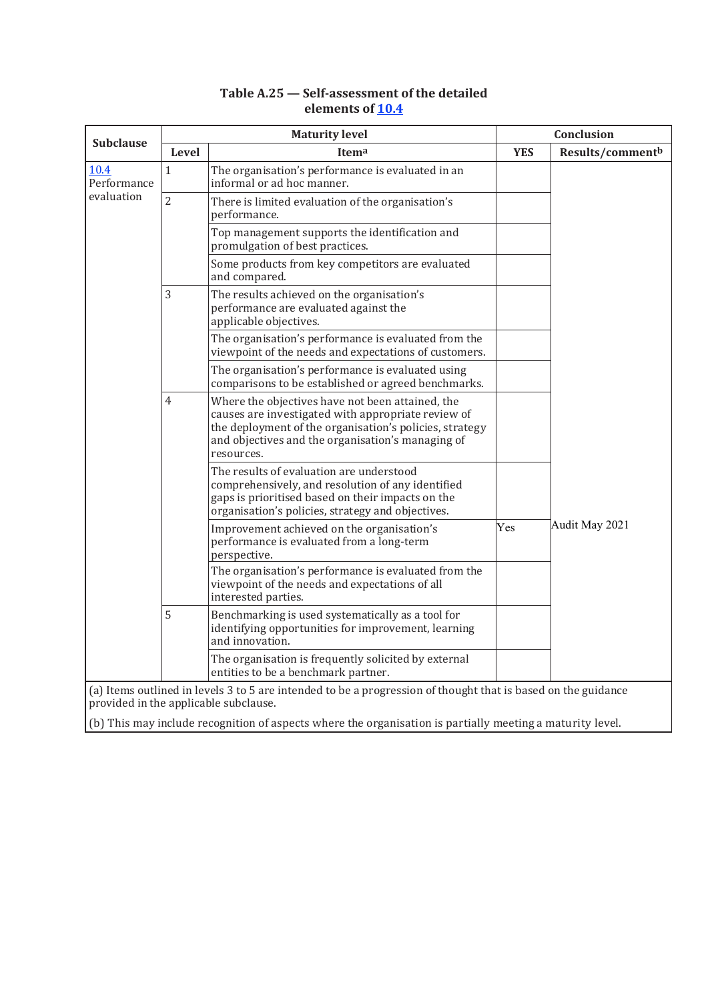|                     | <b>Maturity level</b> |                                                                                                                                                                                                                                      |            | Conclusion       |  |
|---------------------|-----------------------|--------------------------------------------------------------------------------------------------------------------------------------------------------------------------------------------------------------------------------------|------------|------------------|--|
| <b>Subclause</b>    | <b>Level</b>          | Itema                                                                                                                                                                                                                                | <b>YES</b> | Results/commentb |  |
| 10.4<br>Performance | $\mathbf{1}$          | The organisation's performance is evaluated in an<br>informal or ad hoc manner.                                                                                                                                                      |            |                  |  |
| evaluation          | $\overline{2}$        | There is limited evaluation of the organisation's<br>performance.                                                                                                                                                                    |            |                  |  |
|                     |                       | Top management supports the identification and<br>promulgation of best practices.                                                                                                                                                    |            |                  |  |
|                     |                       | Some products from key competitors are evaluated<br>and compared.                                                                                                                                                                    |            |                  |  |
|                     | 3                     | The results achieved on the organisation's<br>performance are evaluated against the<br>applicable objectives.                                                                                                                        |            |                  |  |
|                     |                       | The organisation's performance is evaluated from the<br>viewpoint of the needs and expectations of customers.                                                                                                                        |            |                  |  |
|                     |                       | The organisation's performance is evaluated using<br>comparisons to be established or agreed benchmarks.                                                                                                                             |            |                  |  |
|                     | 4                     | Where the objectives have not been attained, the<br>causes are investigated with appropriate review of<br>the deployment of the organisation's policies, strategy<br>and objectives and the organisation's managing of<br>resources. |            |                  |  |
|                     |                       | The results of evaluation are understood<br>comprehensively, and resolution of any identified<br>gaps is prioritised based on their impacts on the<br>organisation's policies, strategy and objectives.                              |            |                  |  |
|                     |                       | Improvement achieved on the organisation's<br>performance is evaluated from a long-term<br>perspective.                                                                                                                              | Yes        | Audit May 2021   |  |
|                     |                       | The organisation's performance is evaluated from the<br>viewpoint of the needs and expectations of all<br>interested parties.                                                                                                        |            |                  |  |
|                     | 5                     | Benchmarking is used systematically as a tool for<br>identifying opportunities for improvement, learning<br>and innovation.                                                                                                          |            |                  |  |
|                     |                       | The organisation is frequently solicited by external<br>entities to be a benchmark partner.                                                                                                                                          |            |                  |  |
|                     |                       | (a) Items outlined in levels 3 to 5 are intended to be a progression of thought that is based on the guidance<br>provided in the applicable subclause.                                                                               |            |                  |  |

## **Table A.25 — Self-assessment of the detailed elements of 10.4**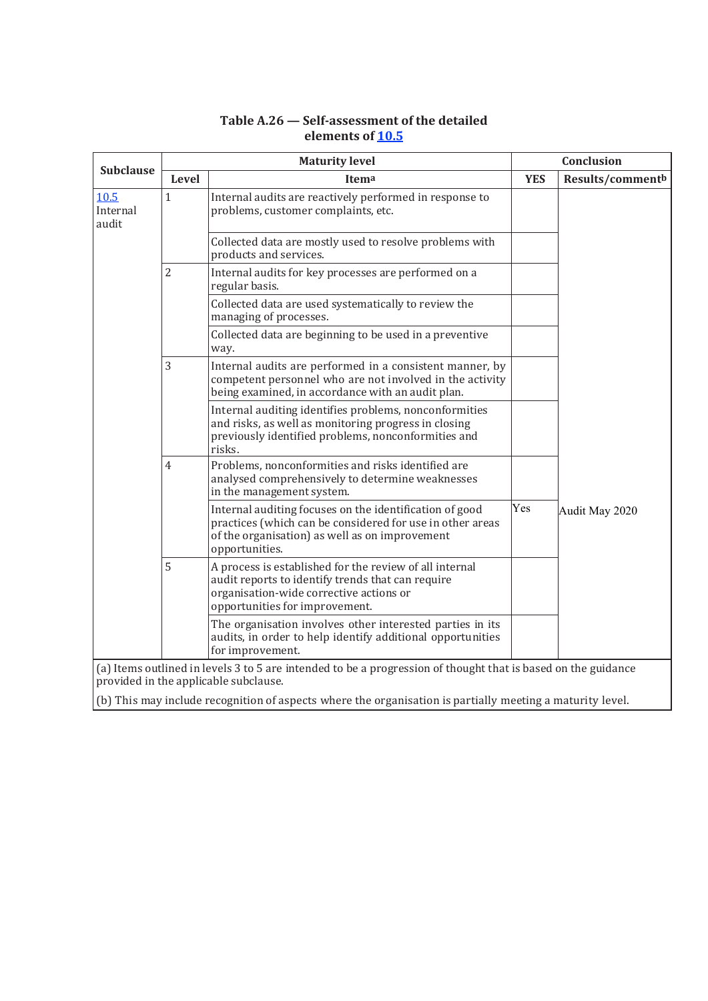| <b>Subclause</b>          |                | <b>Maturity level</b>                                                                                                                                                                     | Conclusion |                  |
|---------------------------|----------------|-------------------------------------------------------------------------------------------------------------------------------------------------------------------------------------------|------------|------------------|
|                           | Level          | Itema                                                                                                                                                                                     | <b>YES</b> | Results/commentb |
| 10.5<br>Internal<br>audit | $\mathbf{1}$   | Internal audits are reactively performed in response to<br>problems, customer complaints, etc.                                                                                            |            |                  |
|                           |                | Collected data are mostly used to resolve problems with<br>products and services.                                                                                                         |            |                  |
|                           | $\overline{2}$ | Internal audits for key processes are performed on a<br>regular basis.                                                                                                                    |            |                  |
|                           |                | Collected data are used systematically to review the<br>managing of processes.                                                                                                            |            |                  |
|                           |                | Collected data are beginning to be used in a preventive<br>way.                                                                                                                           |            |                  |
|                           | 3              | Internal audits are performed in a consistent manner, by<br>competent personnel who are not involved in the activity<br>being examined, in accordance with an audit plan.                 |            |                  |
|                           |                | Internal auditing identifies problems, nonconformities<br>and risks, as well as monitoring progress in closing<br>previously identified problems, nonconformities and<br>risks.           |            |                  |
|                           | $\overline{4}$ | Problems, nonconformities and risks identified are<br>analysed comprehensively to determine weaknesses<br>in the management system.                                                       |            |                  |
|                           |                | Internal auditing focuses on the identification of good<br>practices (which can be considered for use in other areas<br>of the organisation) as well as on improvement<br>opportunities.  | Yes        | Audit May 2020   |
|                           | 5              | A process is established for the review of all internal<br>audit reports to identify trends that can require<br>organisation-wide corrective actions or<br>opportunities for improvement. |            |                  |
|                           |                | The organisation involves other interested parties in its<br>audits, in order to help identify additional opportunities<br>for improvement.                                               |            |                  |
|                           |                | (a) Items outlined in levels 3 to 5 are intended to be a progression of thought that is based on the guidance<br>provided in the applicable subclause.                                    |            |                  |
|                           |                | (b) This may include recognition of aspects where the organisation is partially meeting a maturity level.                                                                                 |            |                  |

# **Table A.26 — Self-assessment of the detailed elements of 10.5**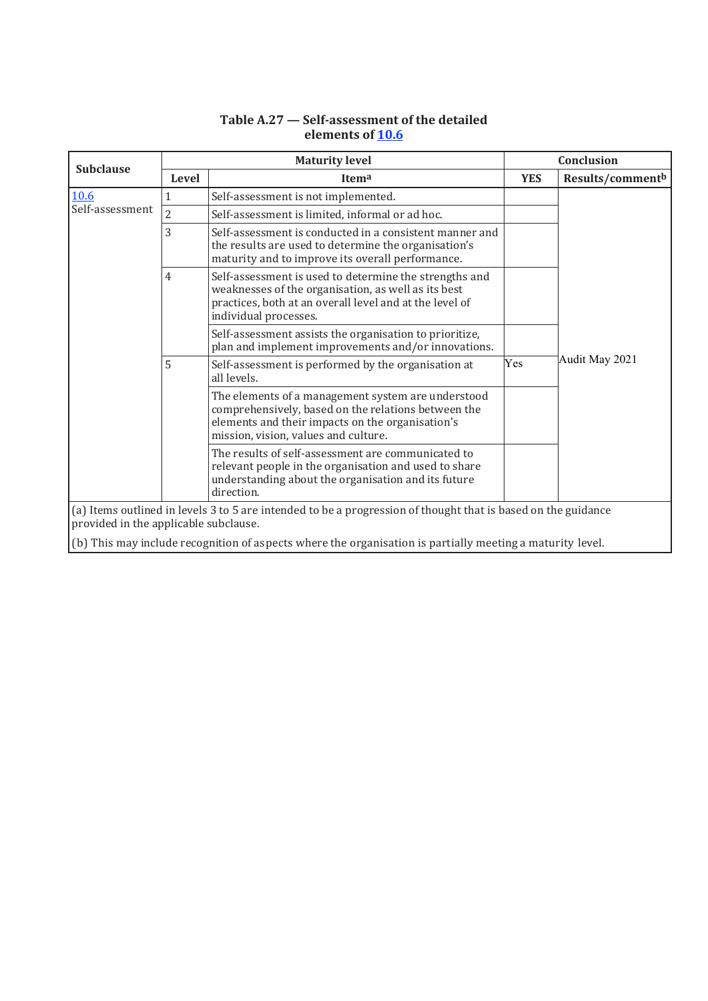| <b>Subclause</b>                                                                                                                                       |                | <b>Maturity level</b>                                                                                                                                                                                 |            | Conclusion       |
|--------------------------------------------------------------------------------------------------------------------------------------------------------|----------------|-------------------------------------------------------------------------------------------------------------------------------------------------------------------------------------------------------|------------|------------------|
|                                                                                                                                                        | Level          | Itema                                                                                                                                                                                                 | <b>YES</b> | Results/commentb |
| 10.6                                                                                                                                                   | $\mathbf{1}$   | Self-assessment is not implemented.                                                                                                                                                                   |            |                  |
| Self-assessment                                                                                                                                        | $\overline{2}$ | Self-assessment is limited, informal or ad hoc.                                                                                                                                                       |            |                  |
|                                                                                                                                                        | 3              | Self-assessment is conducted in a consistent manner and<br>the results are used to determine the organisation's<br>maturity and to improve its overall performance.                                   |            |                  |
|                                                                                                                                                        | 4              | Self-assessment is used to determine the strengths and<br>weaknesses of the organisation, as well as its best<br>practices, both at an overall level and at the level of<br>individual processes.     |            |                  |
|                                                                                                                                                        |                | Self-assessment assists the organisation to prioritize,<br>plan and implement improvements and/or innovations.                                                                                        |            |                  |
|                                                                                                                                                        | 5              | Self-assessment is performed by the organisation at<br>all levels.                                                                                                                                    | Yes        | Audit May 2021   |
|                                                                                                                                                        |                | The elements of a management system are understood<br>comprehensively, based on the relations between the<br>elements and their impacts on the organisation's<br>mission, vision, values and culture. |            |                  |
|                                                                                                                                                        |                | The results of self-assessment are communicated to<br>relevant people in the organisation and used to share<br>understanding about the organisation and its future<br>direction.                      |            |                  |
| (a) Items outlined in levels 3 to 5 are intended to be a progression of thought that is based on the guidance<br>provided in the applicable subclause. |                |                                                                                                                                                                                                       |            |                  |
|                                                                                                                                                        |                | $(b)$ This may include recognition of aspects where the organisation is partially meeting a maturity level.                                                                                           |            |                  |

# **Table A.27 — Self-assessment of the detailed elements of 10.6**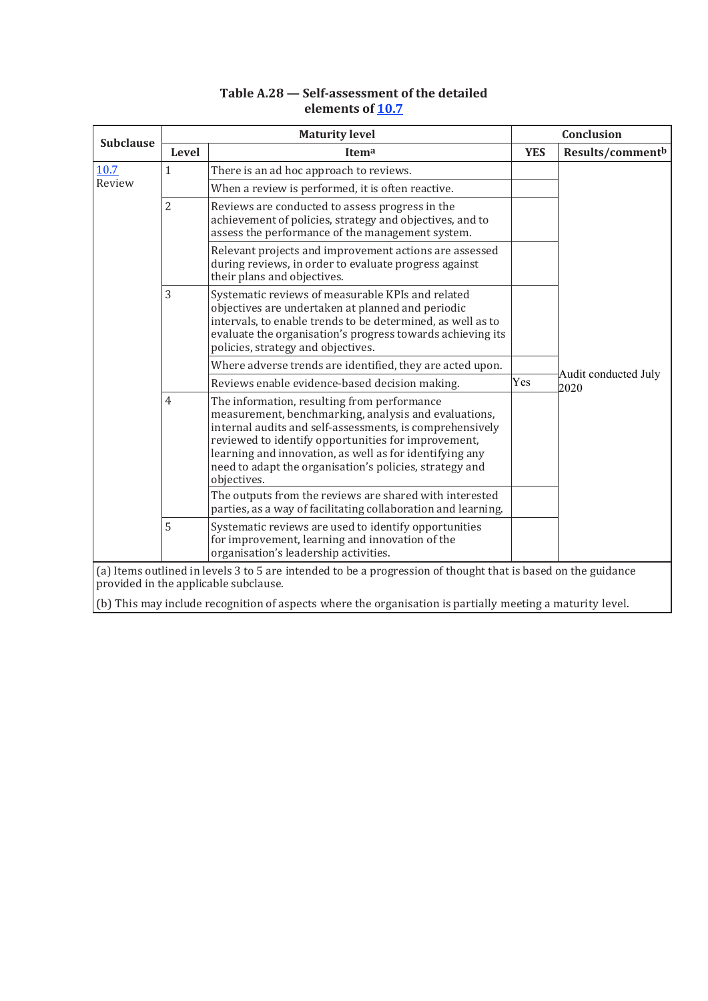## **Table A.28 — Self-assessment of the detailed elements of 10.7**

| <b>Subclause</b> | <b>Maturity level</b> |                                                                                                                                                                                                                                                                                                                                                             |            | Conclusion           |  |
|------------------|-----------------------|-------------------------------------------------------------------------------------------------------------------------------------------------------------------------------------------------------------------------------------------------------------------------------------------------------------------------------------------------------------|------------|----------------------|--|
|                  | <b>Level</b>          | Itema                                                                                                                                                                                                                                                                                                                                                       | <b>YES</b> | Results/commentb     |  |
| 10.7<br>Review   | $\mathbf{1}$          | There is an ad hoc approach to reviews.<br>When a review is performed, it is often reactive.                                                                                                                                                                                                                                                                |            |                      |  |
|                  | $\overline{2}$        | Reviews are conducted to assess progress in the<br>achievement of policies, strategy and objectives, and to<br>assess the performance of the management system.                                                                                                                                                                                             |            |                      |  |
|                  |                       | Relevant projects and improvement actions are assessed<br>during reviews, in order to evaluate progress against<br>their plans and objectives.                                                                                                                                                                                                              |            |                      |  |
|                  | 3                     | Systematic reviews of measurable KPIs and related<br>objectives are undertaken at planned and periodic<br>intervals, to enable trends to be determined, as well as to<br>evaluate the organisation's progress towards achieving its<br>policies, strategy and objectives.                                                                                   |            |                      |  |
|                  |                       | Where adverse trends are identified, they are acted upon.                                                                                                                                                                                                                                                                                                   |            | Audit conducted July |  |
|                  |                       | Reviews enable evidence-based decision making.                                                                                                                                                                                                                                                                                                              | Yes        | 2020                 |  |
|                  | 4                     | The information, resulting from performance<br>measurement, benchmarking, analysis and evaluations,<br>internal audits and self-assessments, is comprehensively<br>reviewed to identify opportunities for improvement,<br>learning and innovation, as well as for identifying any<br>need to adapt the organisation's policies, strategy and<br>objectives. |            |                      |  |
|                  |                       | The outputs from the reviews are shared with interested<br>parties, as a way of facilitating collaboration and learning.                                                                                                                                                                                                                                    |            |                      |  |
|                  | 5                     | Systematic reviews are used to identify opportunities<br>for improvement, learning and innovation of the<br>organisation's leadership activities.                                                                                                                                                                                                           |            |                      |  |
|                  |                       | (a) Items outlined in levels 3 to 5 are intended to be a progression of thought that is based on the guidance                                                                                                                                                                                                                                               |            |                      |  |
|                  |                       | provided in the applicable subclause.                                                                                                                                                                                                                                                                                                                       |            |                      |  |
|                  |                       | (b) This may include recognition of aspects where the organisation is partially meeting a maturity level.                                                                                                                                                                                                                                                   |            |                      |  |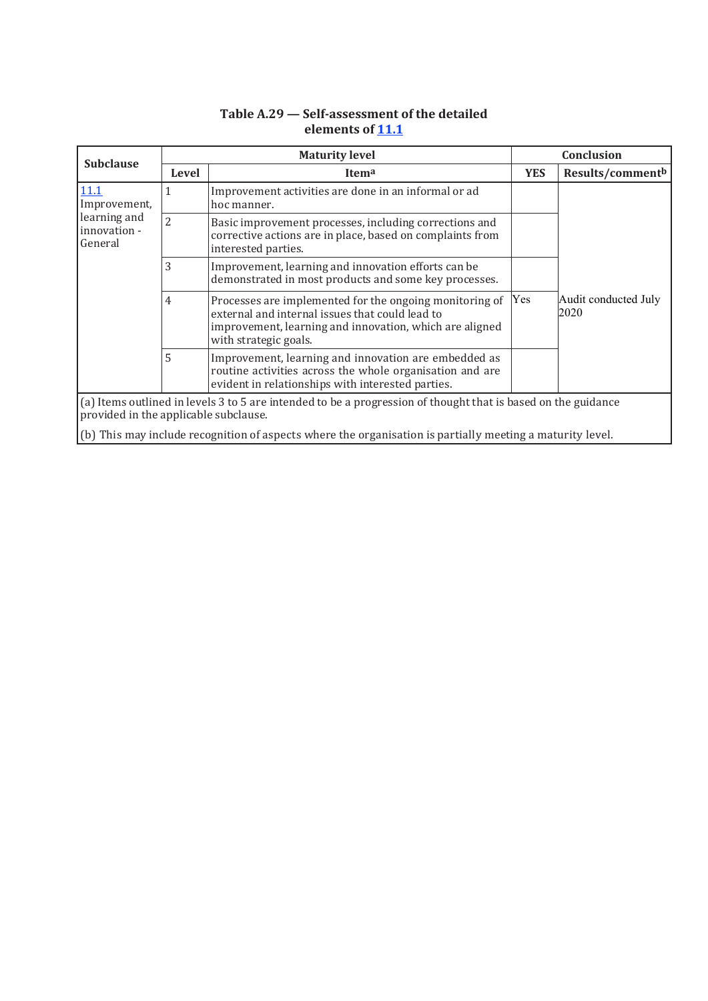| <b>Subclause</b>                                                                                                                                       | <b>Maturity level</b> |                                                                                                                                                                                                |            | Conclusion                                                                                                |  |  |  |  |  |
|--------------------------------------------------------------------------------------------------------------------------------------------------------|-----------------------|------------------------------------------------------------------------------------------------------------------------------------------------------------------------------------------------|------------|-----------------------------------------------------------------------------------------------------------|--|--|--|--|--|
|                                                                                                                                                        | <b>Level</b>          | Itema                                                                                                                                                                                          | <b>YES</b> | Results/commentb                                                                                          |  |  |  |  |  |
| 11.1<br>Improvement,<br>learning and<br>innovation -<br>General                                                                                        | 1                     | Improvement activities are done in an informal or ad<br>hoc manner.                                                                                                                            |            | Audit conducted July<br>2020                                                                              |  |  |  |  |  |
|                                                                                                                                                        | $\overline{2}$        | Basic improvement processes, including corrections and<br>corrective actions are in place, based on complaints from<br>interested parties.                                                     |            |                                                                                                           |  |  |  |  |  |
|                                                                                                                                                        | 3                     | Improvement, learning and innovation efforts can be<br>demonstrated in most products and some key processes.                                                                                   |            |                                                                                                           |  |  |  |  |  |
|                                                                                                                                                        | 4                     | Processes are implemented for the ongoing monitoring of<br>external and internal issues that could lead to<br>improvement, learning and innovation, which are aligned<br>with strategic goals. | Yes        |                                                                                                           |  |  |  |  |  |
|                                                                                                                                                        | 5                     | Improvement, learning and innovation are embedded as<br>routine activities across the whole organisation and are<br>evident in relationships with interested parties.                          |            |                                                                                                           |  |  |  |  |  |
| (a) Items outlined in levels 3 to 5 are intended to be a progression of thought that is based on the guidance<br>provided in the applicable subclause. |                       |                                                                                                                                                                                                |            |                                                                                                           |  |  |  |  |  |
|                                                                                                                                                        |                       |                                                                                                                                                                                                |            | (b) This may include recognition of aspects where the organisation is partially meeting a maturity level. |  |  |  |  |  |

# **Table A.29 — Self-assessment of the detailed elements of 11.1**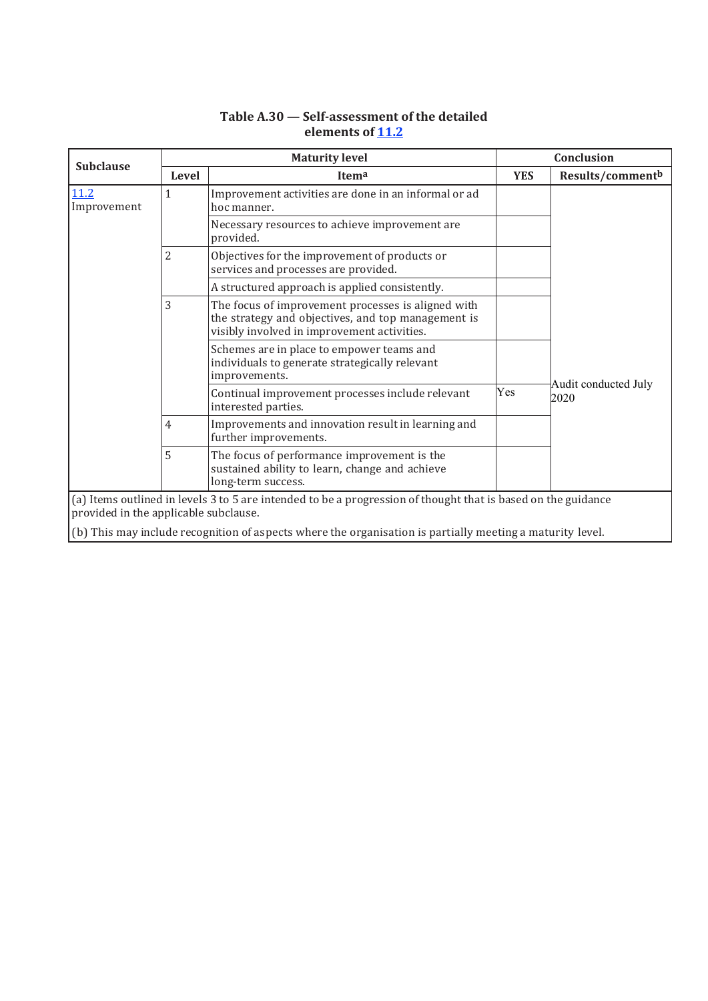| <b>Subclause</b>                                                                                                                                       | <b>Maturity level</b> |                                                                                                                                                         |                                     | Conclusion       |  |
|--------------------------------------------------------------------------------------------------------------------------------------------------------|-----------------------|---------------------------------------------------------------------------------------------------------------------------------------------------------|-------------------------------------|------------------|--|
|                                                                                                                                                        | Level                 | Itema                                                                                                                                                   | <b>YES</b>                          | Results/commentb |  |
| 11.2<br>Improvement                                                                                                                                    | $\mathbf{1}$          | Improvement activities are done in an informal or ad<br>hoc manner.                                                                                     |                                     |                  |  |
|                                                                                                                                                        |                       | Necessary resources to achieve improvement are<br>provided.                                                                                             |                                     |                  |  |
|                                                                                                                                                        | $\overline{2}$        | Objectives for the improvement of products or<br>services and processes are provided.                                                                   |                                     |                  |  |
|                                                                                                                                                        |                       | A structured approach is applied consistently.                                                                                                          |                                     |                  |  |
|                                                                                                                                                        | 3                     | The focus of improvement processes is aligned with<br>the strategy and objectives, and top management is<br>visibly involved in improvement activities. |                                     |                  |  |
|                                                                                                                                                        |                       | Schemes are in place to empower teams and<br>individuals to generate strategically relevant<br>improvements.                                            |                                     |                  |  |
|                                                                                                                                                        |                       | Continual improvement processes include relevant<br>interested parties.                                                                                 | Audit conducted July<br>Yes<br>2020 |                  |  |
|                                                                                                                                                        | 4                     | Improvements and innovation result in learning and<br>further improvements.                                                                             |                                     |                  |  |
|                                                                                                                                                        | 5                     | The focus of performance improvement is the<br>sustained ability to learn, change and achieve<br>long-term success.                                     |                                     |                  |  |
| (a) Items outlined in levels 3 to 5 are intended to be a progression of thought that is based on the guidance<br>provided in the applicable subclause. |                       |                                                                                                                                                         |                                     |                  |  |
| (b) This may include recognition of aspects where the organisation is partially meeting a maturity level.                                              |                       |                                                                                                                                                         |                                     |                  |  |

# **Table A.30 — Self-assessment of the detailed elements of 11.2**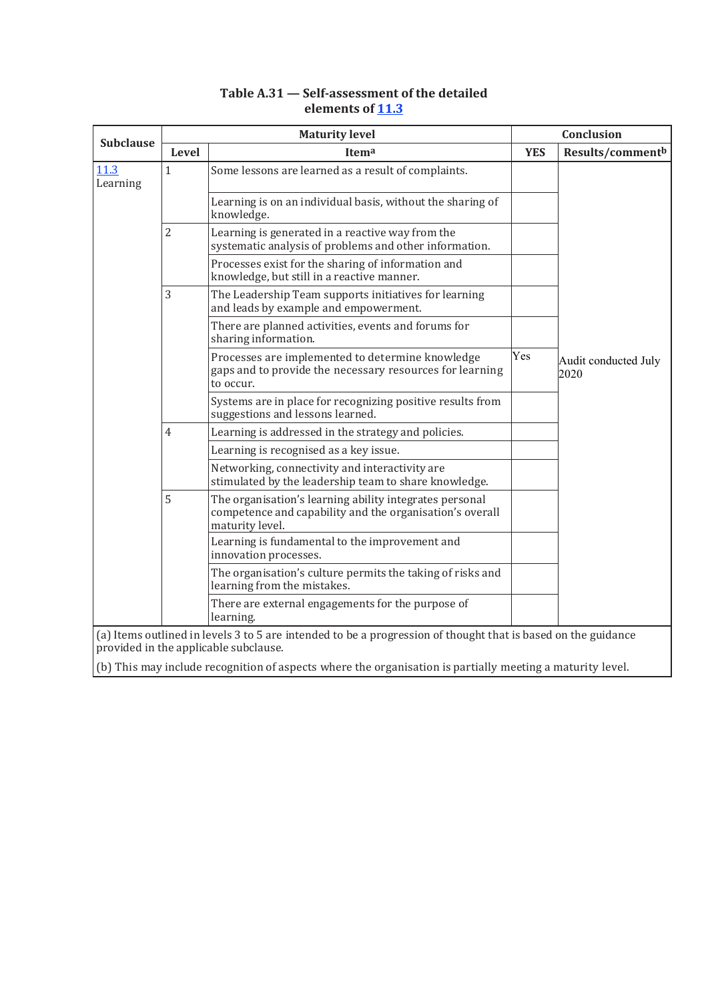|                  | <b>Maturity level</b> |                                                                                                                                                        |            | Conclusion                   |  |
|------------------|-----------------------|--------------------------------------------------------------------------------------------------------------------------------------------------------|------------|------------------------------|--|
| <b>Subclause</b> | Level                 | Itema                                                                                                                                                  | <b>YES</b> | Results/commentb             |  |
| 11.3<br>Learning | $\mathbf{1}$          | Some lessons are learned as a result of complaints.                                                                                                    |            |                              |  |
|                  |                       | Learning is on an individual basis, without the sharing of<br>knowledge.                                                                               |            |                              |  |
|                  | $\overline{2}$        | Learning is generated in a reactive way from the<br>systematic analysis of problems and other information.                                             |            |                              |  |
|                  |                       | Processes exist for the sharing of information and<br>knowledge, but still in a reactive manner.                                                       |            |                              |  |
|                  | 3                     | The Leadership Team supports initiatives for learning<br>and leads by example and empowerment.                                                         |            |                              |  |
|                  |                       | There are planned activities, events and forums for<br>sharing information.                                                                            |            |                              |  |
|                  |                       | Processes are implemented to determine knowledge<br>gaps and to provide the necessary resources for learning<br>to occur.                              | Yes        | Audit conducted July<br>2020 |  |
|                  |                       | Systems are in place for recognizing positive results from<br>suggestions and lessons learned.                                                         |            |                              |  |
|                  | $\overline{4}$        | Learning is addressed in the strategy and policies.                                                                                                    |            |                              |  |
|                  |                       | Learning is recognised as a key issue.                                                                                                                 |            |                              |  |
|                  |                       | Networking, connectivity and interactivity are<br>stimulated by the leadership team to share knowledge.                                                |            |                              |  |
|                  | 5                     | The organisation's learning ability integrates personal<br>competence and capability and the organisation's overall<br>maturity level.                 |            |                              |  |
|                  |                       | Learning is fundamental to the improvement and<br>innovation processes.                                                                                |            |                              |  |
|                  |                       | The organisation's culture permits the taking of risks and<br>learning from the mistakes.                                                              |            |                              |  |
|                  |                       | There are external engagements for the purpose of<br>learning.                                                                                         |            |                              |  |
|                  |                       | (a) Items outlined in levels 3 to 5 are intended to be a progression of thought that is based on the guidance<br>provided in the applicable subclause. |            |                              |  |

# **Table A.31 — Self-assessment of the detailed elements of 11.3**